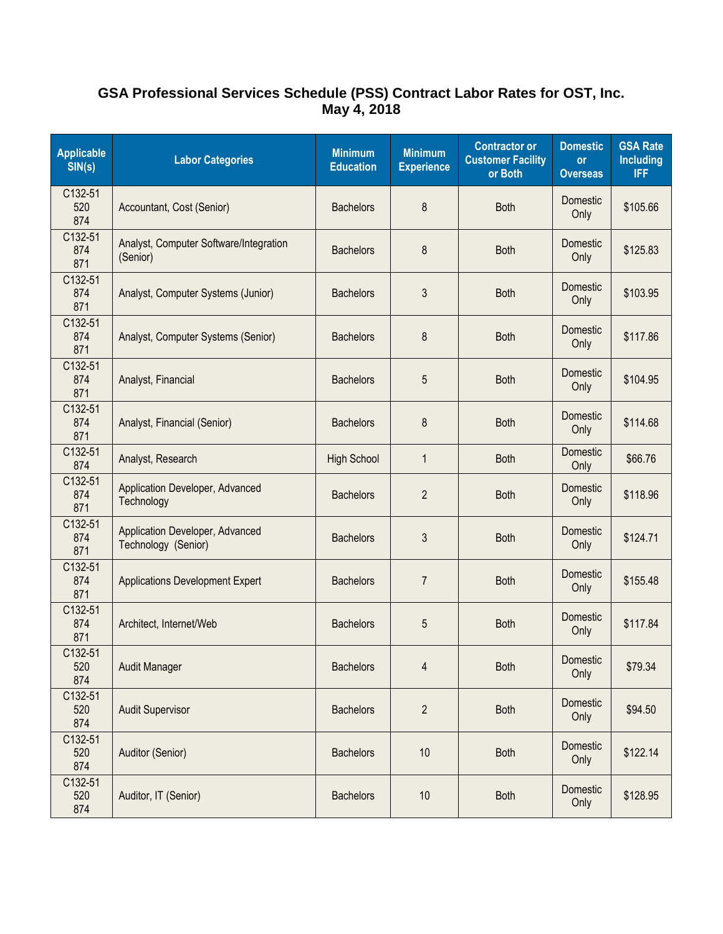## **GSA Professional Services Schedule (PSS) Contract Labor Rates for OST, Inc. May 4, 2018**

| <b>Applicable</b><br>SIN(s) | <b>Labor Categories</b>                                | <b>Minimum</b><br><b>Education</b> | <b>Minimum</b><br><b>Experience</b> | <b>Contractor or</b><br><b>Customer Facility</b><br>or Both | <b>Domestic</b><br>or<br><b>Overseas</b> | <b>GSA Rate</b><br><b>Including</b><br><b>IFF</b> |
|-----------------------------|--------------------------------------------------------|------------------------------------|-------------------------------------|-------------------------------------------------------------|------------------------------------------|---------------------------------------------------|
| C132-51<br>520<br>874       | Accountant, Cost (Senior)                              | <b>Bachelors</b>                   | 8                                   | <b>Both</b>                                                 | Domestic<br>Only                         | \$105.66                                          |
| C132-51<br>874<br>871       | Analyst, Computer Software/Integration<br>(Senior)     | <b>Bachelors</b>                   | 8                                   | <b>Both</b>                                                 | Domestic<br>Only                         | \$125.83                                          |
| C132-51<br>874<br>871       | Analyst, Computer Systems (Junior)                     | <b>Bachelors</b>                   | 3                                   | <b>Both</b>                                                 | Domestic<br>Only                         | \$103.95                                          |
| C132-51<br>874<br>871       | Analyst, Computer Systems (Senior)                     | <b>Bachelors</b>                   | 8                                   | <b>Both</b>                                                 | Domestic<br>Only                         | \$117.86                                          |
| C132-51<br>874<br>871       | Analyst, Financial                                     | <b>Bachelors</b>                   | 5                                   | <b>Both</b>                                                 | Domestic<br>Only                         | \$104.95                                          |
| C132-51<br>874<br>871       | Analyst, Financial (Senior)                            | <b>Bachelors</b>                   | 8                                   | <b>Both</b>                                                 | Domestic<br>Only                         | \$114.68                                          |
| C132-51<br>874              | Analyst, Research                                      | <b>High School</b>                 | $\mathbf{1}$                        | <b>Both</b>                                                 | <b>Domestic</b><br>Only                  | \$66.76                                           |
| C132-51<br>874<br>871       | Application Developer, Advanced<br>Technology          | <b>Bachelors</b>                   | $\overline{2}$                      | <b>Both</b>                                                 | Domestic<br>Only                         | \$118.96                                          |
| C132-51<br>874<br>871       | Application Developer, Advanced<br>Technology (Senior) | <b>Bachelors</b>                   | 3                                   | <b>Both</b>                                                 | Domestic<br>Only                         | \$124.71                                          |
| C132-51<br>874<br>871       | <b>Applications Development Expert</b>                 | <b>Bachelors</b>                   | $\overline{7}$                      | <b>Both</b>                                                 | Domestic<br>Only                         | \$155.48                                          |
| C132-51<br>874<br>871       | Architect, Internet/Web                                | <b>Bachelors</b>                   | 5                                   | <b>Both</b>                                                 | Domestic<br>Only                         | \$117.84                                          |
| C132-51<br>520<br>874       | <b>Audit Manager</b>                                   | <b>Bachelors</b>                   | 4                                   | <b>Both</b>                                                 | Domestic<br>Only                         | \$79.34                                           |
| C132-51<br>520<br>874       | <b>Audit Supervisor</b>                                | <b>Bachelors</b>                   | $\overline{2}$                      | <b>Both</b>                                                 | Domestic<br>Only                         | \$94.50                                           |
| C132-51<br>520<br>874       | Auditor (Senior)                                       | <b>Bachelors</b>                   | 10                                  | <b>Both</b>                                                 | Domestic<br>Only                         | \$122.14                                          |
| C132-51<br>520<br>874       | Auditor, IT (Senior)                                   | <b>Bachelors</b>                   | 10                                  | <b>Both</b>                                                 | Domestic<br>Only                         | \$128.95                                          |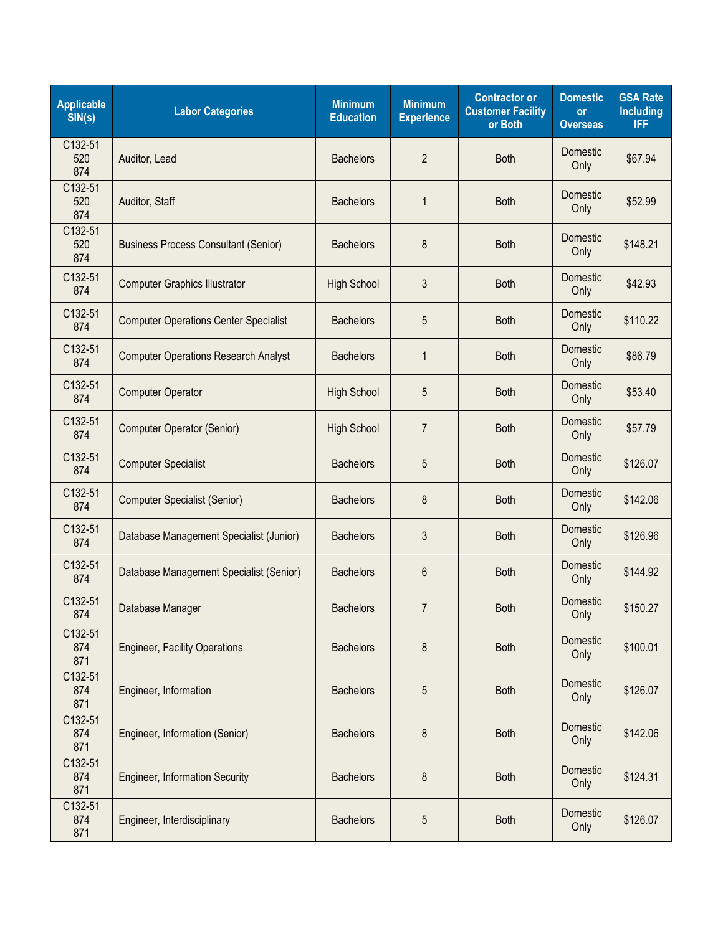| <b>Applicable</b><br>SIN(s) | <b>Labor Categories</b>                      | <b>Minimum</b><br><b>Education</b> | <b>Minimum</b><br><b>Experience</b> | <b>Contractor or</b><br><b>Customer Facility</b><br>or Both | <b>Domestic</b><br>or<br><b>Overseas</b> | <b>GSA Rate</b><br><b>Including</b><br><b>IFF</b> |
|-----------------------------|----------------------------------------------|------------------------------------|-------------------------------------|-------------------------------------------------------------|------------------------------------------|---------------------------------------------------|
| C132-51<br>520<br>874       | Auditor, Lead                                | <b>Bachelors</b>                   | $\overline{2}$                      | <b>Both</b>                                                 | Domestic<br>Only                         | \$67.94                                           |
| C132-51<br>520<br>874       | Auditor, Staff                               | <b>Bachelors</b>                   | 1                                   | <b>Both</b>                                                 | Domestic<br>Only                         | \$52.99                                           |
| C132-51<br>520<br>874       | <b>Business Process Consultant (Senior)</b>  | <b>Bachelors</b>                   | 8                                   | <b>Both</b>                                                 | Domestic<br>Only                         | \$148.21                                          |
| C132-51<br>874              | <b>Computer Graphics Illustrator</b>         | <b>High School</b>                 | 3                                   | <b>Both</b>                                                 | Domestic<br>Only                         | \$42.93                                           |
| C132-51<br>874              | <b>Computer Operations Center Specialist</b> | <b>Bachelors</b>                   | 5                                   | <b>Both</b>                                                 | Domestic<br>Only                         | \$110.22                                          |
| C132-51<br>874              | <b>Computer Operations Research Analyst</b>  | <b>Bachelors</b>                   | $\mathbf{1}$                        | <b>Both</b>                                                 | Domestic<br>Only                         | \$86.79                                           |
| C132-51<br>874              | <b>Computer Operator</b>                     | <b>High School</b>                 | 5                                   | <b>Both</b>                                                 | Domestic<br>Only                         | \$53.40                                           |
| C132-51<br>874              | <b>Computer Operator (Senior)</b>            | <b>High School</b>                 | $\overline{7}$                      | <b>Both</b>                                                 | Domestic<br>Only                         | \$57.79                                           |
| C132-51<br>874              | <b>Computer Specialist</b>                   | <b>Bachelors</b>                   | 5                                   | <b>Both</b>                                                 | Domestic<br>Only                         | \$126.07                                          |
| C132-51<br>874              | <b>Computer Specialist (Senior)</b>          | <b>Bachelors</b>                   | 8                                   | <b>Both</b>                                                 | Domestic<br>Only                         | \$142.06                                          |
| C132-51<br>874              | Database Management Specialist (Junior)      | <b>Bachelors</b>                   | 3                                   | <b>Both</b>                                                 | Domestic<br>Only                         | \$126.96                                          |
| C132-51<br>874              | Database Management Specialist (Senior)      | <b>Bachelors</b>                   | 6                                   | <b>Both</b>                                                 | <b>Domestic</b><br>Only                  | \$144.92                                          |
| C132-51<br>874              | Database Manager                             | <b>Bachelors</b>                   | $\overline{7}$                      | <b>Both</b>                                                 | Domestic<br>Only                         | \$150.27                                          |
| C132-51<br>874<br>871       | <b>Engineer, Facility Operations</b>         | <b>Bachelors</b>                   | 8                                   | <b>Both</b>                                                 | Domestic<br>Only                         | \$100.01                                          |
| C132-51<br>874<br>871       | Engineer, Information                        | <b>Bachelors</b>                   | 5                                   | <b>Both</b>                                                 | Domestic<br>Only                         | \$126.07                                          |
| C132-51<br>874<br>871       | Engineer, Information (Senior)               | <b>Bachelors</b>                   | 8                                   | <b>Both</b>                                                 | Domestic<br>Only                         | \$142.06                                          |
| C132-51<br>874<br>871       | <b>Engineer, Information Security</b>        | <b>Bachelors</b>                   | 8                                   | <b>Both</b>                                                 | Domestic<br>Only                         | \$124.31                                          |
| C132-51<br>874<br>871       | Engineer, Interdisciplinary                  | <b>Bachelors</b>                   | 5                                   | <b>Both</b>                                                 | Domestic<br>Only                         | \$126.07                                          |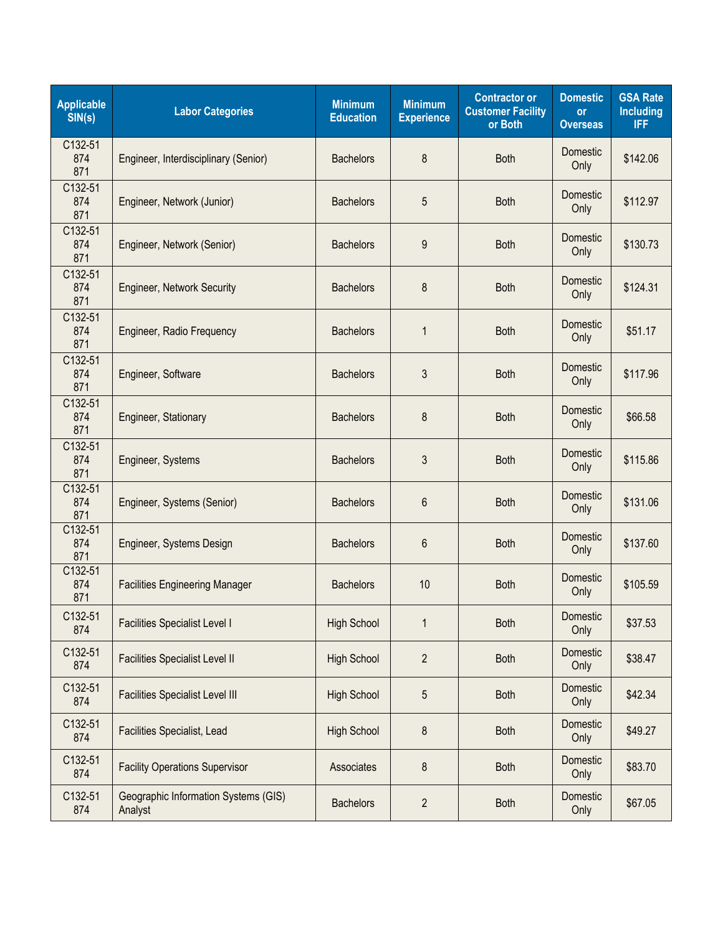| <b>Applicable</b><br>SIN(s) | <b>Labor Categories</b>                         | <b>Minimum</b><br><b>Education</b> | <b>Minimum</b><br><b>Experience</b> | <b>Contractor or</b><br><b>Customer Facility</b><br>or Both | <b>Domestic</b><br>or<br><b>Overseas</b> | <b>GSA Rate</b><br><b>Including</b><br><b>IFF</b> |
|-----------------------------|-------------------------------------------------|------------------------------------|-------------------------------------|-------------------------------------------------------------|------------------------------------------|---------------------------------------------------|
| C132-51<br>874<br>871       | Engineer, Interdisciplinary (Senior)            | <b>Bachelors</b>                   | 8                                   | <b>Both</b>                                                 | Domestic<br>Only                         | \$142.06                                          |
| C132-51<br>874<br>871       | Engineer, Network (Junior)                      | <b>Bachelors</b>                   | 5                                   | <b>Both</b>                                                 | Domestic<br>Only                         | \$112.97                                          |
| C132-51<br>874<br>871       | Engineer, Network (Senior)                      | <b>Bachelors</b>                   | 9                                   | <b>Both</b>                                                 | Domestic<br>Only                         | \$130.73                                          |
| C132-51<br>874<br>871       | <b>Engineer, Network Security</b>               | <b>Bachelors</b>                   | 8                                   | <b>Both</b>                                                 | Domestic<br>Only                         | \$124.31                                          |
| C132-51<br>874<br>871       | Engineer, Radio Frequency                       | <b>Bachelors</b>                   | $\mathbf{1}$                        | <b>Both</b>                                                 | Domestic<br>Only                         | \$51.17                                           |
| C132-51<br>874<br>871       | Engineer, Software                              | <b>Bachelors</b>                   | 3                                   | <b>Both</b>                                                 | Domestic<br>Only                         | \$117.96                                          |
| C132-51<br>874<br>871       | Engineer, Stationary                            | <b>Bachelors</b>                   | 8                                   | <b>Both</b>                                                 | Domestic<br>Only                         | \$66.58                                           |
| C132-51<br>874<br>871       | Engineer, Systems                               | <b>Bachelors</b>                   | 3                                   | <b>Both</b>                                                 | Domestic<br>Only                         | \$115.86                                          |
| C132-51<br>874<br>871       | Engineer, Systems (Senior)                      | <b>Bachelors</b>                   | 6                                   | <b>Both</b>                                                 | Domestic<br>Only                         | \$131.06                                          |
| C132-51<br>874<br>871       | Engineer, Systems Design                        | <b>Bachelors</b>                   | 6                                   | <b>Both</b>                                                 | Domestic<br>Only                         | \$137.60                                          |
| C132-51<br>874<br>871       | <b>Facilities Engineering Manager</b>           | <b>Bachelors</b>                   | 10                                  | <b>Both</b>                                                 | Domestic<br>Only                         | \$105.59                                          |
| C132-51<br>874              | <b>Facilities Specialist Level I</b>            | <b>High School</b>                 | 1                                   | <b>Both</b>                                                 | Domestic<br>Only                         | \$37.53                                           |
| C132-51<br>874              | <b>Facilities Specialist Level II</b>           | <b>High School</b>                 | $\overline{2}$                      | <b>Both</b>                                                 | Domestic<br>Only                         | \$38.47                                           |
| C132-51<br>874              | <b>Facilities Specialist Level III</b>          | <b>High School</b>                 | 5                                   | <b>Both</b>                                                 | Domestic<br>Only                         | \$42.34                                           |
| C132-51<br>874              | Facilities Specialist, Lead                     | <b>High School</b>                 | 8                                   | <b>Both</b>                                                 | Domestic<br>Only                         | \$49.27                                           |
| C132-51<br>874              | <b>Facility Operations Supervisor</b>           | Associates                         | 8                                   | <b>Both</b>                                                 | Domestic<br>Only                         | \$83.70                                           |
| C132-51<br>874              | Geographic Information Systems (GIS)<br>Analyst | <b>Bachelors</b>                   | $\overline{2}$                      | <b>Both</b>                                                 | Domestic<br>Only                         | \$67.05                                           |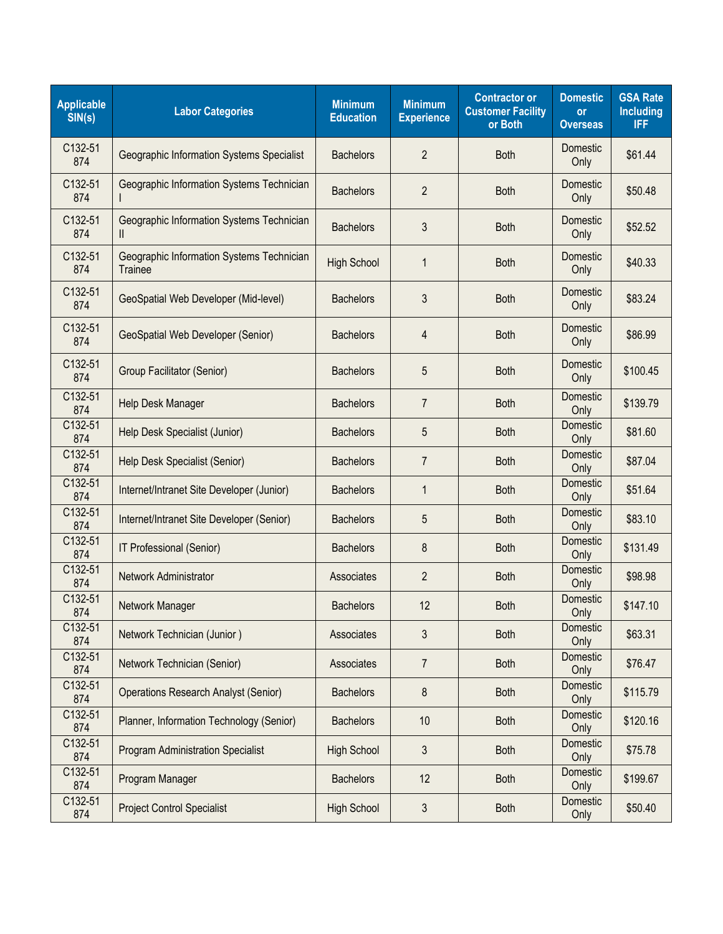| <b>Applicable</b><br>SIN(s) | <b>Labor Categories</b>                                     | <b>Minimum</b><br><b>Education</b> | <b>Minimum</b><br><b>Experience</b> | <b>Contractor or</b><br><b>Customer Facility</b><br>or Both | <b>Domestic</b><br><b>or</b><br><b>Overseas</b> | <b>GSA Rate</b><br><b>Including</b><br><b>IFF</b> |
|-----------------------------|-------------------------------------------------------------|------------------------------------|-------------------------------------|-------------------------------------------------------------|-------------------------------------------------|---------------------------------------------------|
| C132-51<br>874              | Geographic Information Systems Specialist                   | <b>Bachelors</b>                   | $\overline{2}$                      | <b>Both</b>                                                 | Domestic<br>Only                                | \$61.44                                           |
| C132-51<br>874              | Geographic Information Systems Technician                   | <b>Bachelors</b>                   | $\overline{2}$                      | <b>Both</b>                                                 | Domestic<br>Only                                | \$50.48                                           |
| C132-51<br>874              | Geographic Information Systems Technician<br>Ш              | <b>Bachelors</b>                   | 3                                   | <b>Both</b>                                                 | Domestic<br>Only                                | \$52.52                                           |
| C132-51<br>874              | Geographic Information Systems Technician<br><b>Trainee</b> | <b>High School</b>                 | $\mathbf{1}$                        | <b>Both</b>                                                 | Domestic<br>Only                                | \$40.33                                           |
| C132-51<br>874              | GeoSpatial Web Developer (Mid-level)                        | <b>Bachelors</b>                   | 3                                   | <b>Both</b>                                                 | Domestic<br>Only                                | \$83.24                                           |
| C132-51<br>874              | <b>GeoSpatial Web Developer (Senior)</b>                    | <b>Bachelors</b>                   | 4                                   | <b>Both</b>                                                 | Domestic<br>Only                                | \$86.99                                           |
| C132-51<br>874              | Group Facilitator (Senior)                                  | <b>Bachelors</b>                   | 5                                   | <b>Both</b>                                                 | Domestic<br>Only                                | \$100.45                                          |
| C132-51<br>874              | Help Desk Manager                                           | <b>Bachelors</b>                   | $\overline{7}$                      | <b>Both</b>                                                 | Domestic<br>Only                                | \$139.79                                          |
| C132-51<br>874              | Help Desk Specialist (Junior)                               | <b>Bachelors</b>                   | 5                                   | <b>Both</b>                                                 | Domestic<br>Only                                | \$81.60                                           |
| C132-51<br>874              | Help Desk Specialist (Senior)                               | <b>Bachelors</b>                   | $\overline{7}$                      | <b>Both</b>                                                 | Domestic<br>Only                                | \$87.04                                           |
| C132-51<br>874              | Internet/Intranet Site Developer (Junior)                   | <b>Bachelors</b>                   | $\mathbf{1}$                        | <b>Both</b>                                                 | Domestic<br>Only                                | \$51.64                                           |
| C132-51<br>874              | Internet/Intranet Site Developer (Senior)                   | <b>Bachelors</b>                   | 5                                   | <b>Both</b>                                                 | Domestic<br>Only                                | \$83.10                                           |
| C132-51<br>874              | IT Professional (Senior)                                    | <b>Bachelors</b>                   | 8                                   | <b>Both</b>                                                 | Domestic<br>Only                                | \$131.49                                          |
| C132-51<br>874              | Network Administrator                                       | Associates                         | $\overline{2}$                      | <b>Both</b>                                                 | Domestic<br>Only                                | \$98.98                                           |
| C132-51<br>874              | Network Manager                                             | <b>Bachelors</b>                   | 12                                  | <b>Both</b>                                                 | Domestic<br>Only                                | \$147.10                                          |
| C132-51<br>874              | Network Technician (Junior)                                 | Associates                         | 3                                   | <b>Both</b>                                                 | Domestic<br>Only                                | \$63.31                                           |
| C132-51<br>874              | Network Technician (Senior)                                 | Associates                         | $\overline{7}$                      | <b>Both</b>                                                 | Domestic<br>Only                                | \$76.47                                           |
| C132-51<br>874              | <b>Operations Research Analyst (Senior)</b>                 | <b>Bachelors</b>                   | 8                                   | <b>Both</b>                                                 | Domestic<br>Only                                | \$115.79                                          |
| C132-51<br>874              | Planner, Information Technology (Senior)                    | <b>Bachelors</b>                   | 10                                  | <b>Both</b>                                                 | Domestic<br>Only                                | \$120.16                                          |
| C132-51<br>874              | <b>Program Administration Specialist</b>                    | <b>High School</b>                 | 3                                   | <b>Both</b>                                                 | Domestic<br>Only                                | \$75.78                                           |
| C132-51<br>874              | Program Manager                                             | <b>Bachelors</b>                   | 12                                  | <b>Both</b>                                                 | Domestic<br>Only                                | \$199.67                                          |
| C132-51<br>874              | <b>Project Control Specialist</b>                           | <b>High School</b>                 | 3                                   | <b>Both</b>                                                 | Domestic<br>Only                                | \$50.40                                           |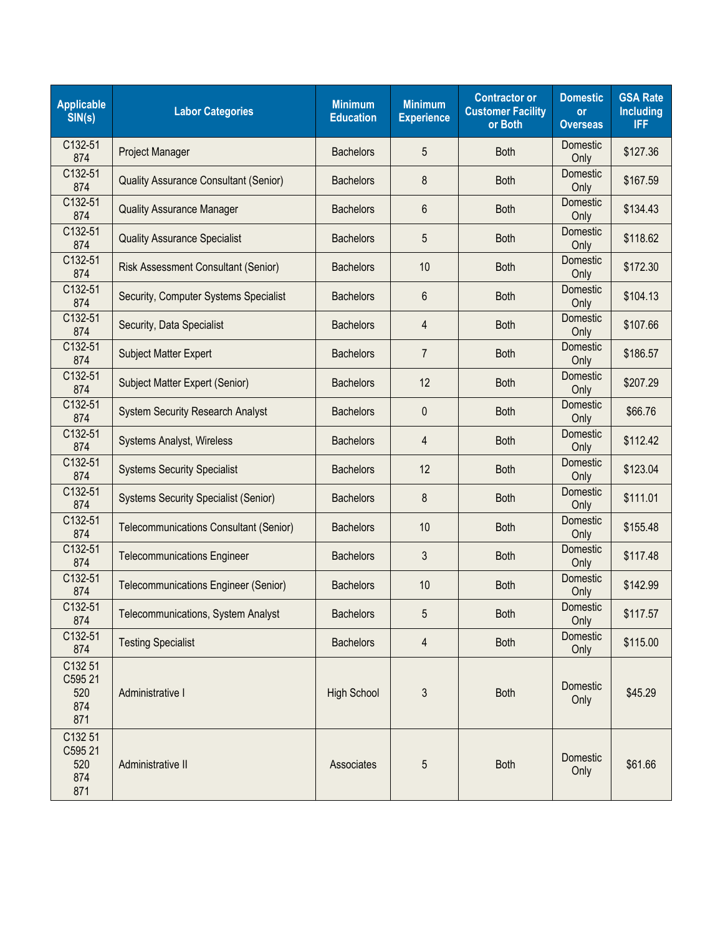| <b>Applicable</b><br>SIN(s)             | <b>Labor Categories</b>                       | <b>Minimum</b><br><b>Education</b> | <b>Minimum</b><br><b>Experience</b> | <b>Contractor or</b><br><b>Customer Facility</b><br>or Both | <b>Domestic</b><br><b>or</b><br><b>Overseas</b> | <b>GSA Rate</b><br><b>Including</b><br><b>IFF</b> |
|-----------------------------------------|-----------------------------------------------|------------------------------------|-------------------------------------|-------------------------------------------------------------|-------------------------------------------------|---------------------------------------------------|
| C132-51<br>874                          | Project Manager                               | <b>Bachelors</b>                   | 5                                   | <b>Both</b>                                                 | Domestic<br>Only                                | \$127.36                                          |
| C132-51<br>874                          | <b>Quality Assurance Consultant (Senior)</b>  | <b>Bachelors</b>                   | 8                                   | <b>Both</b>                                                 | Domestic<br>Only                                | \$167.59                                          |
| C132-51<br>874                          | <b>Quality Assurance Manager</b>              | <b>Bachelors</b>                   | 6                                   | <b>Both</b>                                                 | Domestic<br>Only                                | \$134.43                                          |
| C132-51<br>874                          | <b>Quality Assurance Specialist</b>           | <b>Bachelors</b>                   | 5                                   | <b>Both</b>                                                 | Domestic<br>Only                                | \$118.62                                          |
| C132-51<br>874                          | <b>Risk Assessment Consultant (Senior)</b>    | <b>Bachelors</b>                   | 10                                  | <b>Both</b>                                                 | Domestic<br>Only                                | \$172.30                                          |
| C132-51<br>874                          | Security, Computer Systems Specialist         | <b>Bachelors</b>                   | 6                                   | <b>Both</b>                                                 | Domestic<br>Only                                | \$104.13                                          |
| C132-51<br>874                          | Security, Data Specialist                     | <b>Bachelors</b>                   | 4                                   | <b>Both</b>                                                 | Domestic<br>Only                                | \$107.66                                          |
| C132-51<br>874                          | <b>Subject Matter Expert</b>                  | <b>Bachelors</b>                   | 7                                   | <b>Both</b>                                                 | Domestic<br>Only                                | \$186.57                                          |
| C132-51<br>874                          | Subject Matter Expert (Senior)                | <b>Bachelors</b>                   | 12                                  | <b>Both</b>                                                 | Domestic<br>Only                                | \$207.29                                          |
| C132-51<br>874                          | <b>System Security Research Analyst</b>       | <b>Bachelors</b>                   | 0                                   | <b>Both</b>                                                 | Domestic<br>Only                                | \$66.76                                           |
| C132-51<br>874                          | Systems Analyst, Wireless                     | <b>Bachelors</b>                   | 4                                   | <b>Both</b>                                                 | Domestic<br>Only                                | \$112.42                                          |
| C132-51<br>874                          | <b>Systems Security Specialist</b>            | <b>Bachelors</b>                   | 12                                  | <b>Both</b>                                                 | Domestic<br>Only                                | \$123.04                                          |
| C132-51<br>874                          | <b>Systems Security Specialist (Senior)</b>   | <b>Bachelors</b>                   | 8                                   | <b>Both</b>                                                 | Domestic<br>Only                                | \$111.01                                          |
| C132-51<br>874                          | <b>Telecommunications Consultant (Senior)</b> | <b>Bachelors</b>                   | 10                                  | <b>Both</b>                                                 | Domestic<br>Only                                | \$155.48                                          |
| C132-51<br>874                          | <b>Telecommunications Engineer</b>            | <b>Bachelors</b>                   | 3                                   | <b>Both</b>                                                 | Domestic<br>Only                                | \$117.48                                          |
| C132-51<br>874                          | <b>Telecommunications Engineer (Senior)</b>   | <b>Bachelors</b>                   | 10                                  | <b>Both</b>                                                 | Domestic<br>Only                                | \$142.99                                          |
| C132-51<br>874                          | Telecommunications, System Analyst            | <b>Bachelors</b>                   | 5                                   | <b>Both</b>                                                 | Domestic<br>Only                                | \$117.57                                          |
| C132-51<br>874                          | <b>Testing Specialist</b>                     | <b>Bachelors</b>                   | $\overline{4}$                      | <b>Both</b>                                                 | Domestic<br>Only                                | \$115.00                                          |
| C132 51<br>C595 21<br>520<br>874<br>871 | Administrative I                              | <b>High School</b>                 | $\mathfrak{Z}$                      | <b>Both</b>                                                 | Domestic<br>Only                                | \$45.29                                           |
| C132 51<br>C595 21<br>520<br>874<br>871 | Administrative II                             | Associates                         | 5                                   | <b>Both</b>                                                 | Domestic<br>Only                                | \$61.66                                           |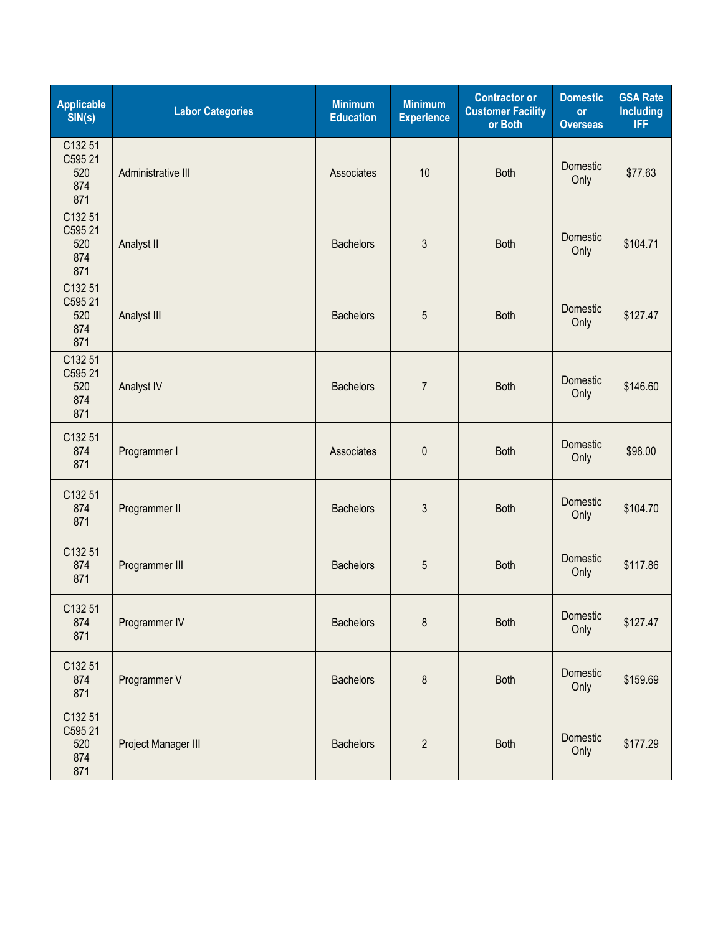| <b>Applicable</b><br>SIN(s)             | <b>Labor Categories</b> | <b>Minimum</b><br><b>Education</b> | <b>Minimum</b><br><b>Experience</b> | <b>Contractor or</b><br><b>Customer Facility</b><br>or Both | <b>Domestic</b><br>or<br><b>Overseas</b> | <b>GSA Rate</b><br><b>Including</b><br><b>IFF</b> |
|-----------------------------------------|-------------------------|------------------------------------|-------------------------------------|-------------------------------------------------------------|------------------------------------------|---------------------------------------------------|
| C132 51<br>C595 21<br>520<br>874<br>871 | Administrative III      | Associates                         | 10                                  | <b>Both</b>                                                 | Domestic<br>Only                         | \$77.63                                           |
| C132 51<br>C595 21<br>520<br>874<br>871 | Analyst II              | <b>Bachelors</b>                   | 3                                   | <b>Both</b>                                                 | Domestic<br>Only                         | \$104.71                                          |
| C132 51<br>C595 21<br>520<br>874<br>871 | Analyst III             | <b>Bachelors</b>                   | 5                                   | <b>Both</b>                                                 | Domestic<br>Only                         | \$127.47                                          |
| C132 51<br>C595 21<br>520<br>874<br>871 | Analyst IV              | <b>Bachelors</b>                   | $\overline{7}$                      | <b>Both</b>                                                 | Domestic<br>Only                         | \$146.60                                          |
| C132 51<br>874<br>871                   | Programmer I            | Associates                         | $\mathbf 0$                         | <b>Both</b>                                                 | Domestic<br>Only                         | \$98.00                                           |
| C132 51<br>874<br>871                   | Programmer II           | <b>Bachelors</b>                   | 3                                   | <b>Both</b>                                                 | Domestic<br>Only                         | \$104.70                                          |
| C132 51<br>874<br>871                   | Programmer III          | <b>Bachelors</b>                   | 5                                   | <b>Both</b>                                                 | Domestic<br>Only                         | \$117.86                                          |
| C132 51<br>874<br>871                   | Programmer IV           | <b>Bachelors</b>                   | 8                                   | <b>Both</b>                                                 | Domestic<br>Only                         | \$127.47                                          |
| C132 51<br>874<br>871                   | Programmer V            | <b>Bachelors</b>                   | $\bf 8$                             | <b>Both</b>                                                 | Domestic<br>Only                         | \$159.69                                          |
| C132 51<br>C595 21<br>520<br>874<br>871 | Project Manager III     | <b>Bachelors</b>                   | $\overline{2}$                      | Both                                                        | Domestic<br>Only                         | \$177.29                                          |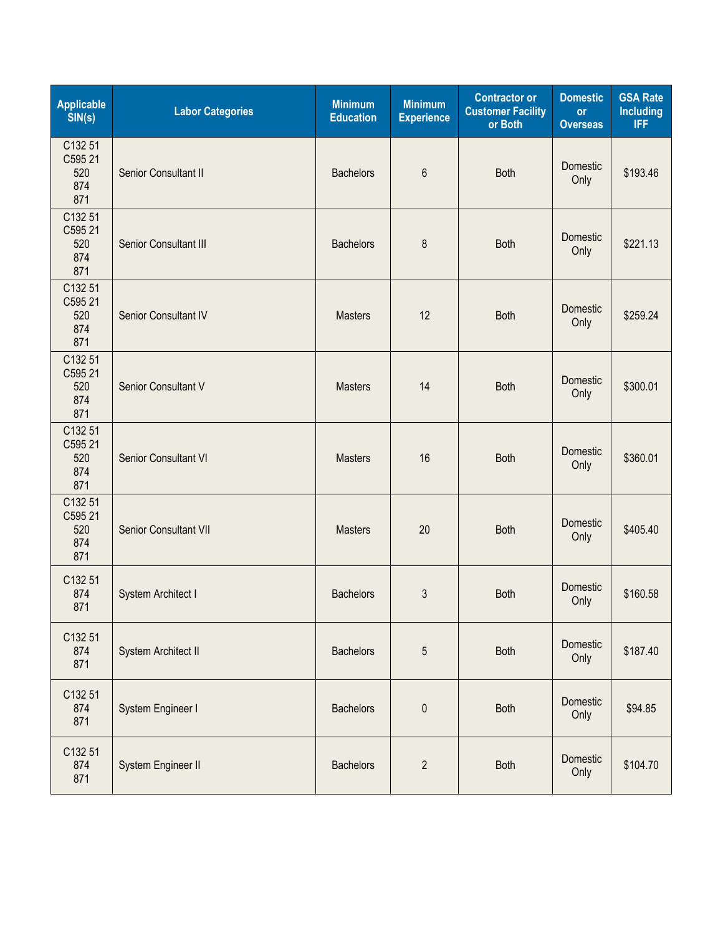| <b>Applicable</b><br>SIN(s)             | <b>Labor Categories</b> | <b>Minimum</b><br><b>Education</b> | <b>Minimum</b><br><b>Experience</b> | <b>Contractor or</b><br><b>Customer Facility</b><br>or Both | <b>Domestic</b><br><b>or</b><br><b>Overseas</b> | <b>GSA Rate</b><br><b>Including</b><br>IFF. |
|-----------------------------------------|-------------------------|------------------------------------|-------------------------------------|-------------------------------------------------------------|-------------------------------------------------|---------------------------------------------|
| C132 51<br>C595 21<br>520<br>874<br>871 | Senior Consultant II    | <b>Bachelors</b>                   | 6                                   | <b>Both</b>                                                 | Domestic<br>Only                                | \$193.46                                    |
| C132 51<br>C595 21<br>520<br>874<br>871 | Senior Consultant III   | <b>Bachelors</b>                   | 8                                   | <b>Both</b>                                                 | Domestic<br>Only                                | \$221.13                                    |
| C132 51<br>C595 21<br>520<br>874<br>871 | Senior Consultant IV    | <b>Masters</b>                     | 12                                  | <b>Both</b>                                                 | Domestic<br>Only                                | \$259.24                                    |
| C132 51<br>C595 21<br>520<br>874<br>871 | Senior Consultant V     | <b>Masters</b>                     | 14                                  | <b>Both</b>                                                 | Domestic<br>Only                                | \$300.01                                    |
| C132 51<br>C595 21<br>520<br>874<br>871 | Senior Consultant VI    | <b>Masters</b>                     | 16                                  | <b>Both</b>                                                 | Domestic<br>Only                                | \$360.01                                    |
| C132 51<br>C595 21<br>520<br>874<br>871 | Senior Consultant VII   | <b>Masters</b>                     | 20                                  | <b>Both</b>                                                 | Domestic<br>Only                                | \$405.40                                    |
| C132 51<br>874<br>871                   | System Architect I      | <b>Bachelors</b>                   | 3                                   | <b>Both</b>                                                 | Domestic<br>Only                                | \$160.58                                    |
| C132 51<br>874<br>871                   | System Architect II     | <b>Bachelors</b>                   | 5                                   | <b>Both</b>                                                 | Domestic<br>Only                                | \$187.40                                    |
| C132 51<br>874<br>871                   | System Engineer I       | <b>Bachelors</b>                   | $\mathbf 0$                         | <b>Both</b>                                                 | Domestic<br>Only                                | \$94.85                                     |
| C132 51<br>874<br>871                   | System Engineer II      | <b>Bachelors</b>                   | $\overline{2}$                      | <b>Both</b>                                                 | Domestic<br>Only                                | \$104.70                                    |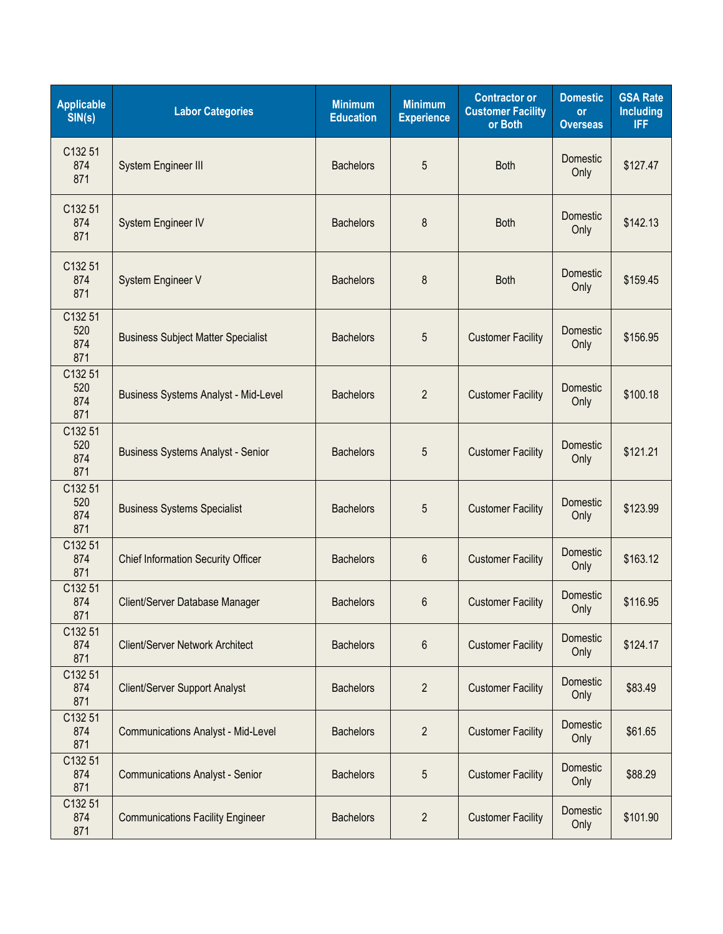| <b>Applicable</b><br>SIN(s)  | <b>Labor Categories</b>                     | <b>Minimum</b><br><b>Education</b> | <b>Minimum</b><br><b>Experience</b> | <b>Contractor or</b><br><b>Customer Facility</b><br>or Both | <b>Domestic</b><br>or<br><b>Overseas</b> | <b>GSA Rate</b><br><b>Including</b><br><b>IFF</b> |
|------------------------------|---------------------------------------------|------------------------------------|-------------------------------------|-------------------------------------------------------------|------------------------------------------|---------------------------------------------------|
| C132 51<br>874<br>871        | System Engineer III                         | <b>Bachelors</b>                   | 5                                   | <b>Both</b>                                                 | Domestic<br>Only                         | \$127.47                                          |
| C132 51<br>874<br>871        | System Engineer IV                          | <b>Bachelors</b>                   | 8                                   | <b>Both</b>                                                 | Domestic<br>Only                         | \$142.13                                          |
| C132 51<br>874<br>871        | System Engineer V                           | <b>Bachelors</b>                   | 8                                   | <b>Both</b>                                                 | Domestic<br>Only                         | \$159.45                                          |
| C132 51<br>520<br>874<br>871 | <b>Business Subject Matter Specialist</b>   | <b>Bachelors</b>                   | 5                                   | <b>Customer Facility</b>                                    | Domestic<br>Only                         | \$156.95                                          |
| C132 51<br>520<br>874<br>871 | <b>Business Systems Analyst - Mid-Level</b> | <b>Bachelors</b>                   | $\overline{2}$                      | <b>Customer Facility</b>                                    | Domestic<br>Only                         | \$100.18                                          |
| C132 51<br>520<br>874<br>871 | <b>Business Systems Analyst - Senior</b>    | <b>Bachelors</b>                   | 5                                   | <b>Customer Facility</b>                                    | Domestic<br>Only                         | \$121.21                                          |
| C132 51<br>520<br>874<br>871 | <b>Business Systems Specialist</b>          | <b>Bachelors</b>                   | 5                                   | <b>Customer Facility</b>                                    | Domestic<br>Only                         | \$123.99                                          |
| C132 51<br>874<br>871        | <b>Chief Information Security Officer</b>   | <b>Bachelors</b>                   | 6                                   | <b>Customer Facility</b>                                    | Domestic<br>Only                         | \$163.12                                          |
| C132 51<br>874<br>871        | Client/Server Database Manager              | <b>Bachelors</b>                   | 6                                   | <b>Customer Facility</b>                                    | Domestic<br>Only                         | \$116.95                                          |
| C132 51<br>874<br>871        | Client/Server Network Architect             | <b>Bachelors</b>                   | 6                                   | <b>Customer Facility</b>                                    | Domestic<br>Only                         | \$124.17                                          |
| C132 51<br>874<br>871        | <b>Client/Server Support Analyst</b>        | <b>Bachelors</b>                   | $\overline{2}$                      | <b>Customer Facility</b>                                    | Domestic<br>Only                         | \$83.49                                           |
| C132 51<br>874<br>871        | <b>Communications Analyst - Mid-Level</b>   | <b>Bachelors</b>                   | $\overline{2}$                      | <b>Customer Facility</b>                                    | Domestic<br>Only                         | \$61.65                                           |
| C132 51<br>874<br>871        | <b>Communications Analyst - Senior</b>      | <b>Bachelors</b>                   | 5                                   | <b>Customer Facility</b>                                    | Domestic<br>Only                         | \$88.29                                           |
| C132 51<br>874<br>871        | <b>Communications Facility Engineer</b>     | <b>Bachelors</b>                   | $\overline{2}$                      | <b>Customer Facility</b>                                    | Domestic<br>Only                         | \$101.90                                          |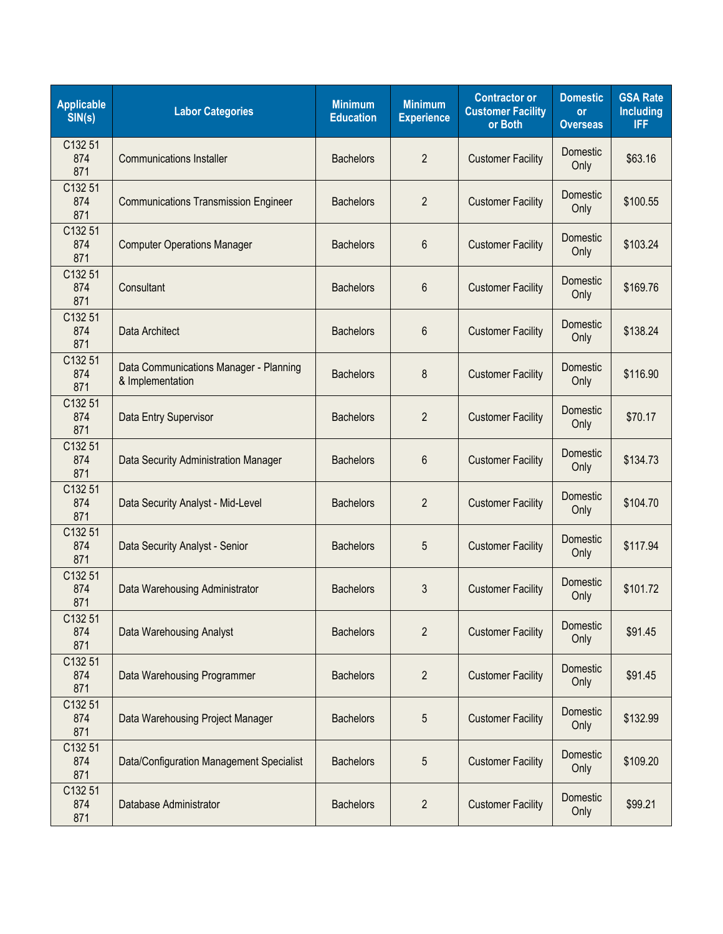| <b>Applicable</b><br>SIN(s) | <b>Labor Categories</b>                                    | <b>Minimum</b><br><b>Education</b> | <b>Minimum</b><br><b>Experience</b> | <b>Contractor or</b><br><b>Customer Facility</b><br>or Both | <b>Domestic</b><br><b>or</b><br><b>Overseas</b> | <b>GSA Rate</b><br><b>Including</b><br><b>IFF</b> |
|-----------------------------|------------------------------------------------------------|------------------------------------|-------------------------------------|-------------------------------------------------------------|-------------------------------------------------|---------------------------------------------------|
| C132 51<br>874<br>871       | <b>Communications Installer</b>                            | <b>Bachelors</b>                   | $\overline{2}$                      | <b>Customer Facility</b>                                    | <b>Domestic</b><br>Only                         | \$63.16                                           |
| C132 51<br>874<br>871       | <b>Communications Transmission Engineer</b>                | <b>Bachelors</b>                   | $\overline{2}$                      | <b>Customer Facility</b>                                    | Domestic<br>Only                                | \$100.55                                          |
| C132 51<br>874<br>871       | <b>Computer Operations Manager</b>                         | <b>Bachelors</b>                   | 6                                   | <b>Customer Facility</b>                                    | Domestic<br>Only                                | \$103.24                                          |
| C132 51<br>874<br>871       | Consultant                                                 | <b>Bachelors</b>                   | 6                                   | <b>Customer Facility</b>                                    | Domestic<br>Only                                | \$169.76                                          |
| C132 51<br>874<br>871       | Data Architect                                             | <b>Bachelors</b>                   | 6                                   | <b>Customer Facility</b>                                    | Domestic<br>Only                                | \$138.24                                          |
| C132 51<br>874<br>871       | Data Communications Manager - Planning<br>& Implementation | <b>Bachelors</b>                   | 8                                   | <b>Customer Facility</b>                                    | Domestic<br>Only                                | \$116.90                                          |
| C132 51<br>874<br>871       | Data Entry Supervisor                                      | <b>Bachelors</b>                   | $\overline{2}$                      | <b>Customer Facility</b>                                    | Domestic<br>Only                                | \$70.17                                           |
| C132 51<br>874<br>871       | Data Security Administration Manager                       | <b>Bachelors</b>                   | 6                                   | <b>Customer Facility</b>                                    | <b>Domestic</b><br>Only                         | \$134.73                                          |
| C132 51<br>874<br>871       | Data Security Analyst - Mid-Level                          | <b>Bachelors</b>                   | $\overline{2}$                      | <b>Customer Facility</b>                                    | Domestic<br>Only                                | \$104.70                                          |
| C132 51<br>874<br>871       | Data Security Analyst - Senior                             | <b>Bachelors</b>                   | 5                                   | <b>Customer Facility</b>                                    | Domestic<br>Only                                | \$117.94                                          |
| C132 51<br>874<br>871       | Data Warehousing Administrator                             | <b>Bachelors</b>                   | 3                                   | <b>Customer Facility</b>                                    | Domestic<br>Only                                | \$101.72                                          |
| C132 51<br>874<br>871       | Data Warehousing Analyst                                   | <b>Bachelors</b>                   | $\overline{2}$                      | <b>Customer Facility</b>                                    | Domestic<br>Only                                | \$91.45                                           |
| C132 51<br>874<br>871       | Data Warehousing Programmer                                | <b>Bachelors</b>                   | $\overline{2}$                      | <b>Customer Facility</b>                                    | Domestic<br>Only                                | \$91.45                                           |
| C132 51<br>874<br>871       | Data Warehousing Project Manager                           | <b>Bachelors</b>                   | 5                                   | <b>Customer Facility</b>                                    | Domestic<br>Only                                | \$132.99                                          |
| C132 51<br>874<br>871       | Data/Configuration Management Specialist                   | <b>Bachelors</b>                   | 5                                   | <b>Customer Facility</b>                                    | Domestic<br>Only                                | \$109.20                                          |
| C132 51<br>874<br>871       | Database Administrator                                     | <b>Bachelors</b>                   | $\overline{2}$                      | <b>Customer Facility</b>                                    | Domestic<br>Only                                | \$99.21                                           |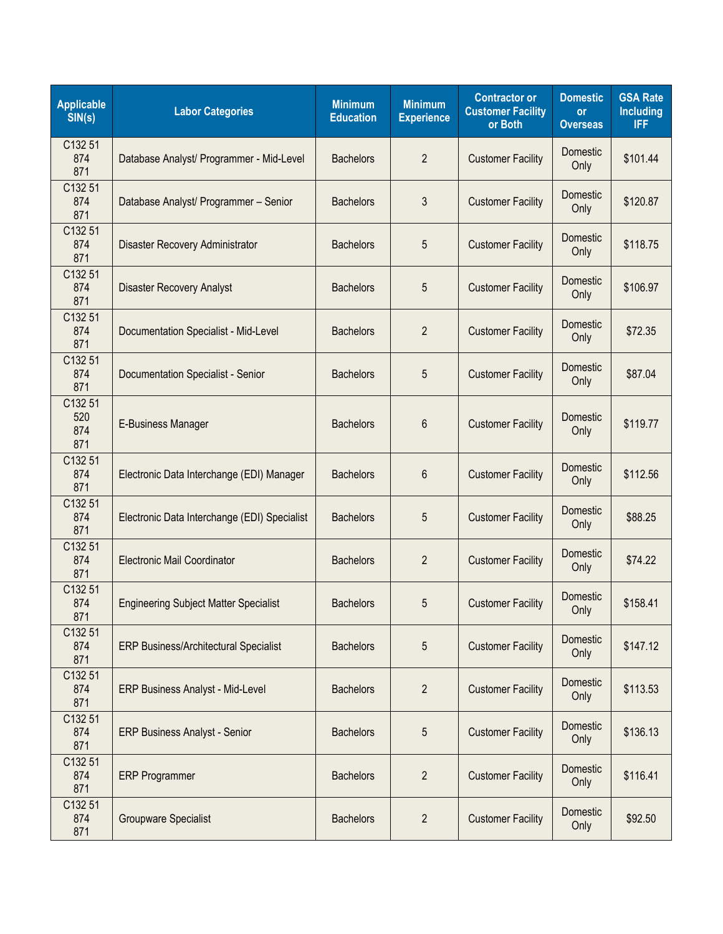| <b>Applicable</b><br>SIN(s)  | <b>Labor Categories</b>                      | <b>Minimum</b><br><b>Education</b> | <b>Minimum</b><br><b>Experience</b> | <b>Contractor or</b><br><b>Customer Facility</b><br>or Both | <b>Domestic</b><br><b>or</b><br><b>Overseas</b> | <b>GSA Rate</b><br><b>Including</b><br><b>IFF</b> |
|------------------------------|----------------------------------------------|------------------------------------|-------------------------------------|-------------------------------------------------------------|-------------------------------------------------|---------------------------------------------------|
| C132 51<br>874<br>871        | Database Analyst/ Programmer - Mid-Level     | <b>Bachelors</b>                   | $\overline{2}$                      | <b>Customer Facility</b>                                    | Domestic<br>Only                                | \$101.44                                          |
| C132 51<br>874<br>871        | Database Analyst/ Programmer - Senior        | <b>Bachelors</b>                   | 3                                   | <b>Customer Facility</b>                                    | Domestic<br>Only                                | \$120.87                                          |
| C132 51<br>874<br>871        | Disaster Recovery Administrator              | <b>Bachelors</b>                   | 5                                   | <b>Customer Facility</b>                                    | Domestic<br>Only                                | \$118.75                                          |
| C132 51<br>874<br>871        | <b>Disaster Recovery Analyst</b>             | <b>Bachelors</b>                   | 5                                   | <b>Customer Facility</b>                                    | Domestic<br>Only                                | \$106.97                                          |
| C132 51<br>874<br>871        | Documentation Specialist - Mid-Level         | <b>Bachelors</b>                   | $\overline{2}$                      | <b>Customer Facility</b>                                    | Domestic<br>Only                                | \$72.35                                           |
| C132 51<br>874<br>871        | Documentation Specialist - Senior            | <b>Bachelors</b>                   | 5                                   | <b>Customer Facility</b>                                    | Domestic<br>Only                                | \$87.04                                           |
| C132 51<br>520<br>874<br>871 | E-Business Manager                           | <b>Bachelors</b>                   | 6                                   | <b>Customer Facility</b>                                    | Domestic<br>Only                                | \$119.77                                          |
| C132 51<br>874<br>871        | Electronic Data Interchange (EDI) Manager    | <b>Bachelors</b>                   | 6                                   | <b>Customer Facility</b>                                    | Domestic<br>Only                                | \$112.56                                          |
| C132 51<br>874<br>871        | Electronic Data Interchange (EDI) Specialist | <b>Bachelors</b>                   | 5                                   | <b>Customer Facility</b>                                    | Domestic<br>Only                                | \$88.25                                           |
| C132 51<br>874<br>871        | Electronic Mail Coordinator                  | <b>Bachelors</b>                   | $\overline{2}$                      | <b>Customer Facility</b>                                    | Domestic<br>Only                                | \$74.22                                           |
| C132 51<br>874<br>871        | <b>Engineering Subject Matter Specialist</b> | <b>Bachelors</b>                   | 5                                   | <b>Customer Facility</b>                                    | Domestic<br>Only                                | \$158.41                                          |
| C132 51<br>874<br>871        | <b>ERP Business/Architectural Specialist</b> | <b>Bachelors</b>                   | 5                                   | <b>Customer Facility</b>                                    | Domestic<br>Only                                | \$147.12                                          |
| C132 51<br>874<br>871        | <b>ERP Business Analyst - Mid-Level</b>      | <b>Bachelors</b>                   | $\overline{2}$                      | <b>Customer Facility</b>                                    | Domestic<br>Only                                | \$113.53                                          |
| C132 51<br>874<br>871        | <b>ERP Business Analyst - Senior</b>         | <b>Bachelors</b>                   | 5                                   | <b>Customer Facility</b>                                    | Domestic<br>Only                                | \$136.13                                          |
| C132 51<br>874<br>871        | <b>ERP Programmer</b>                        | <b>Bachelors</b>                   | $\overline{2}$                      | <b>Customer Facility</b>                                    | Domestic<br>Only                                | \$116.41                                          |
| C132 51<br>874<br>871        | <b>Groupware Specialist</b>                  | <b>Bachelors</b>                   | $\overline{2}$                      | <b>Customer Facility</b>                                    | Domestic<br>Only                                | \$92.50                                           |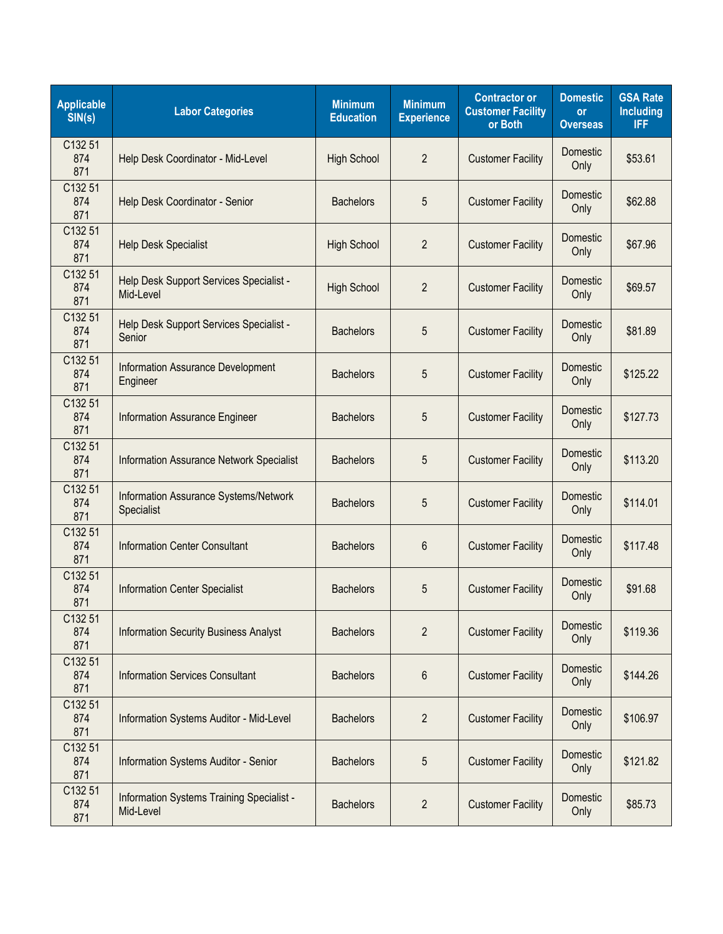| <b>Applicable</b><br>SIN(s) | <b>Labor Categories</b>                                | <b>Minimum</b><br><b>Education</b> | <b>Minimum</b><br><b>Experience</b> | <b>Contractor or</b><br><b>Customer Facility</b><br>or Both | <b>Domestic</b><br><b>or</b><br><b>Overseas</b> | <b>GSA Rate</b><br><b>Including</b><br><b>IFF</b> |
|-----------------------------|--------------------------------------------------------|------------------------------------|-------------------------------------|-------------------------------------------------------------|-------------------------------------------------|---------------------------------------------------|
| C132 51<br>874<br>871       | Help Desk Coordinator - Mid-Level                      | <b>High School</b>                 | $\overline{2}$                      | <b>Customer Facility</b>                                    | <b>Domestic</b><br>Only                         | \$53.61                                           |
| C132 51<br>874<br>871       | Help Desk Coordinator - Senior                         | <b>Bachelors</b>                   | 5                                   | <b>Customer Facility</b>                                    | Domestic<br>Only                                | \$62.88                                           |
| C132 51<br>874<br>871       | Help Desk Specialist                                   | <b>High School</b>                 | $\overline{2}$                      | <b>Customer Facility</b>                                    | Domestic<br>Only                                | \$67.96                                           |
| C132 51<br>874<br>871       | Help Desk Support Services Specialist -<br>Mid-Level   | <b>High School</b>                 | $\overline{2}$                      | <b>Customer Facility</b>                                    | Domestic<br>Only                                | \$69.57                                           |
| C132 51<br>874<br>871       | Help Desk Support Services Specialist -<br>Senior      | <b>Bachelors</b>                   | 5                                   | <b>Customer Facility</b>                                    | Domestic<br>Only                                | \$81.89                                           |
| C132 51<br>874<br>871       | Information Assurance Development<br>Engineer          | <b>Bachelors</b>                   | 5                                   | <b>Customer Facility</b>                                    | Domestic<br>Only                                | \$125.22                                          |
| C132 51<br>874<br>871       | <b>Information Assurance Engineer</b>                  | <b>Bachelors</b>                   | 5                                   | <b>Customer Facility</b>                                    | Domestic<br>Only                                | \$127.73                                          |
| C132 51<br>874<br>871       | <b>Information Assurance Network Specialist</b>        | <b>Bachelors</b>                   | 5                                   | <b>Customer Facility</b>                                    | <b>Domestic</b><br>Only                         | \$113.20                                          |
| C132 51<br>874<br>871       | Information Assurance Systems/Network<br>Specialist    | <b>Bachelors</b>                   | 5                                   | <b>Customer Facility</b>                                    | Domestic<br>Only                                | \$114.01                                          |
| C132 51<br>874<br>871       | <b>Information Center Consultant</b>                   | <b>Bachelors</b>                   | 6                                   | <b>Customer Facility</b>                                    | Domestic<br>Only                                | \$117.48                                          |
| C132 51<br>874<br>871       | <b>Information Center Specialist</b>                   | <b>Bachelors</b>                   | 5                                   | <b>Customer Facility</b>                                    | Domestic<br>Only                                | \$91.68                                           |
| C132 51<br>874<br>871       | <b>Information Security Business Analyst</b>           | <b>Bachelors</b>                   | $\overline{2}$                      | <b>Customer Facility</b>                                    | Domestic<br>Only                                | \$119.36                                          |
| C132 51<br>874<br>871       | <b>Information Services Consultant</b>                 | <b>Bachelors</b>                   | 6                                   | <b>Customer Facility</b>                                    | Domestic<br>Only                                | \$144.26                                          |
| C132 51<br>874<br>871       | Information Systems Auditor - Mid-Level                | <b>Bachelors</b>                   | $\overline{2}$                      | <b>Customer Facility</b>                                    | Domestic<br>Only                                | \$106.97                                          |
| C132 51<br>874<br>871       | Information Systems Auditor - Senior                   | <b>Bachelors</b>                   | 5                                   | <b>Customer Facility</b>                                    | Domestic<br>Only                                | \$121.82                                          |
| C132 51<br>874<br>871       | Information Systems Training Specialist -<br>Mid-Level | <b>Bachelors</b>                   | $\overline{2}$                      | <b>Customer Facility</b>                                    | Domestic<br>Only                                | \$85.73                                           |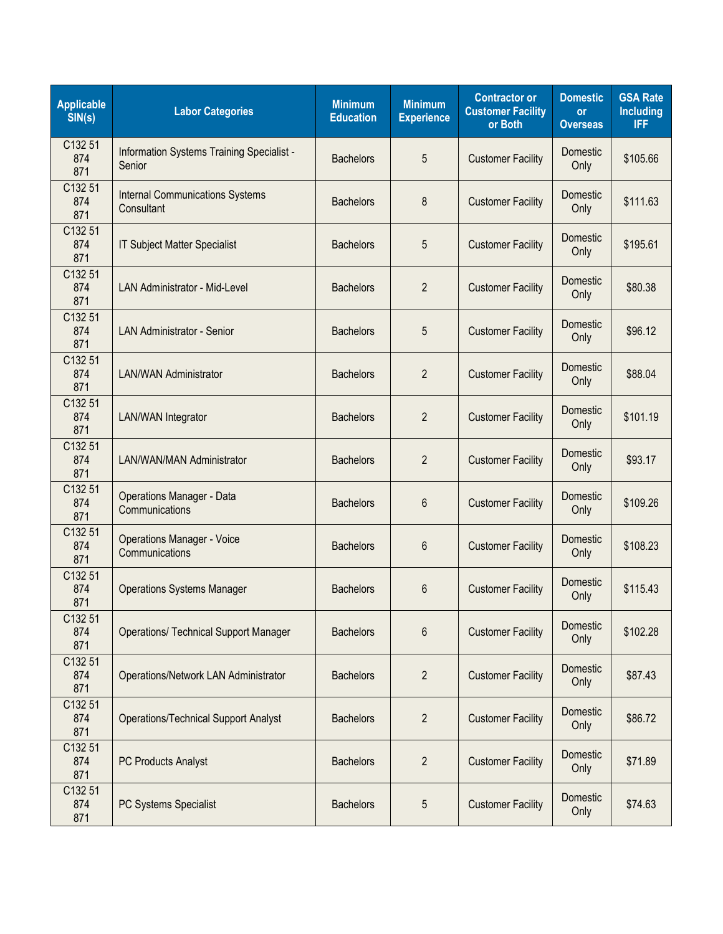| <b>Applicable</b><br>SIN(s) | <b>Labor Categories</b>                              | <b>Minimum</b><br><b>Education</b> | <b>Minimum</b><br><b>Experience</b> | <b>Contractor or</b><br><b>Customer Facility</b><br>or Both | <b>Domestic</b><br><b>or</b><br><b>Overseas</b> | <b>GSA Rate</b><br><b>Including</b><br><b>IFF</b> |
|-----------------------------|------------------------------------------------------|------------------------------------|-------------------------------------|-------------------------------------------------------------|-------------------------------------------------|---------------------------------------------------|
| C132 51<br>874<br>871       | Information Systems Training Specialist -<br>Senior  | <b>Bachelors</b>                   | 5                                   | <b>Customer Facility</b>                                    | Domestic<br>Only                                | \$105.66                                          |
| C132 51<br>874<br>871       | <b>Internal Communications Systems</b><br>Consultant | <b>Bachelors</b>                   | 8                                   | <b>Customer Facility</b>                                    | Domestic<br>Only                                | \$111.63                                          |
| C132 51<br>874<br>871       | <b>IT Subject Matter Specialist</b>                  | <b>Bachelors</b>                   | 5                                   | <b>Customer Facility</b>                                    | Domestic<br>Only                                | \$195.61                                          |
| C132 51<br>874<br>871       | <b>LAN Administrator - Mid-Level</b>                 | <b>Bachelors</b>                   | $\overline{2}$                      | <b>Customer Facility</b>                                    | Domestic<br>Only                                | \$80.38                                           |
| C132 51<br>874<br>871       | <b>LAN Administrator - Senior</b>                    | <b>Bachelors</b>                   | 5                                   | <b>Customer Facility</b>                                    | Domestic<br>Only                                | \$96.12                                           |
| C132 51<br>874<br>871       | <b>LAN/WAN Administrator</b>                         | <b>Bachelors</b>                   | $\overline{2}$                      | <b>Customer Facility</b>                                    | Domestic<br>Only                                | \$88.04                                           |
| C132 51<br>874<br>871       | <b>LAN/WAN Integrator</b>                            | <b>Bachelors</b>                   | $\overline{2}$                      | <b>Customer Facility</b>                                    | Domestic<br>Only                                | \$101.19                                          |
| C132 51<br>874<br>871       | <b>LAN/WAN/MAN Administrator</b>                     | <b>Bachelors</b>                   | $\overline{2}$                      | <b>Customer Facility</b>                                    | <b>Domestic</b><br>Only                         | \$93.17                                           |
| C132 51<br>874<br>871       | <b>Operations Manager - Data</b><br>Communications   | <b>Bachelors</b>                   | 6                                   | <b>Customer Facility</b>                                    | Domestic<br>Only                                | \$109.26                                          |
| C132 51<br>874<br>871       | <b>Operations Manager - Voice</b><br>Communications  | <b>Bachelors</b>                   | 6                                   | <b>Customer Facility</b>                                    | Domestic<br>Only                                | \$108.23                                          |
| C132 51<br>874<br>871       | <b>Operations Systems Manager</b>                    | <b>Bachelors</b>                   | 6                                   | <b>Customer Facility</b>                                    | Domestic<br>Only                                | \$115.43                                          |
| C132 51<br>874<br>871       | <b>Operations/ Technical Support Manager</b>         | <b>Bachelors</b>                   | 6                                   | <b>Customer Facility</b>                                    | Domestic<br>Only                                | \$102.28                                          |
| C132 51<br>874<br>871       | Operations/Network LAN Administrator                 | <b>Bachelors</b>                   | $\overline{2}$                      | <b>Customer Facility</b>                                    | Domestic<br>Only                                | \$87.43                                           |
| C132 51<br>874<br>871       | <b>Operations/Technical Support Analyst</b>          | <b>Bachelors</b>                   | $\overline{2}$                      | <b>Customer Facility</b>                                    | Domestic<br>Only                                | \$86.72                                           |
| C132 51<br>874<br>871       | <b>PC Products Analyst</b>                           | <b>Bachelors</b>                   | $\overline{2}$                      | <b>Customer Facility</b>                                    | Domestic<br>Only                                | \$71.89                                           |
| C132 51<br>874<br>871       | PC Systems Specialist                                | <b>Bachelors</b>                   | 5                                   | <b>Customer Facility</b>                                    | Domestic<br>Only                                | \$74.63                                           |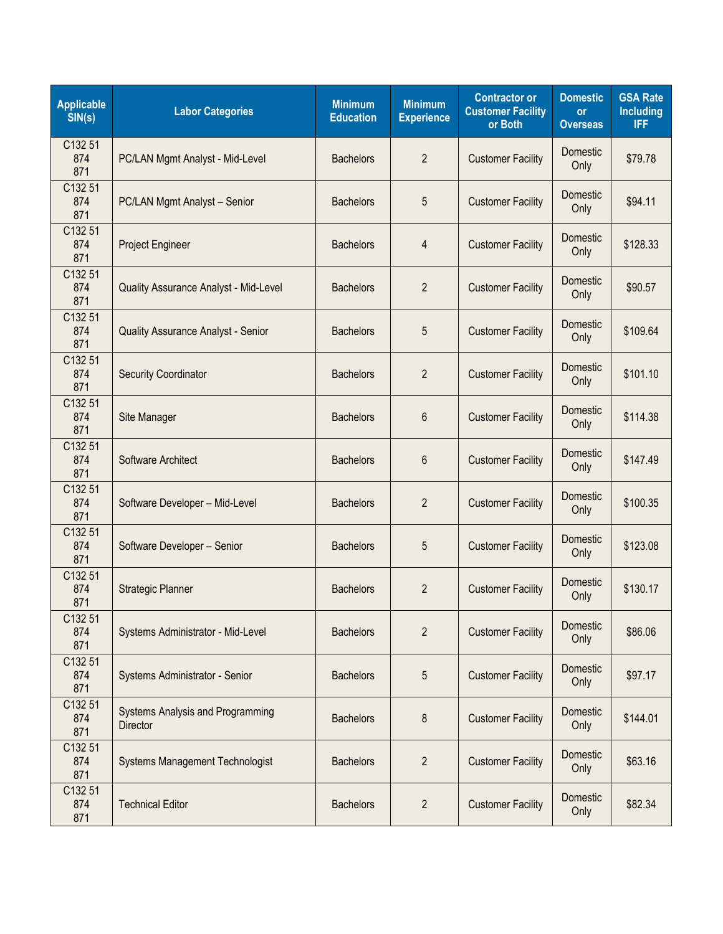| <b>Applicable</b><br>SIN(s) | <b>Labor Categories</b>                             | <b>Minimum</b><br><b>Education</b> | <b>Minimum</b><br><b>Experience</b> | <b>Contractor or</b><br><b>Customer Facility</b><br>or Both | <b>Domestic</b><br><b>or</b><br><b>Overseas</b> | <b>GSA Rate</b><br><b>Including</b><br><b>IFF</b> |
|-----------------------------|-----------------------------------------------------|------------------------------------|-------------------------------------|-------------------------------------------------------------|-------------------------------------------------|---------------------------------------------------|
| C132 51<br>874<br>871       | PC/LAN Mgmt Analyst - Mid-Level                     | <b>Bachelors</b>                   | $\overline{2}$                      | <b>Customer Facility</b>                                    | Domestic<br>Only                                | \$79.78                                           |
| C132 51<br>874<br>871       | PC/LAN Mgmt Analyst - Senior                        | <b>Bachelors</b>                   | 5                                   | <b>Customer Facility</b>                                    | Domestic<br>Only                                | \$94.11                                           |
| C132 51<br>874<br>871       | Project Engineer                                    | <b>Bachelors</b>                   | 4                                   | <b>Customer Facility</b>                                    | Domestic<br>Only                                | \$128.33                                          |
| C132 51<br>874<br>871       | Quality Assurance Analyst - Mid-Level               | <b>Bachelors</b>                   | $\overline{2}$                      | <b>Customer Facility</b>                                    | Domestic<br>Only                                | \$90.57                                           |
| C132 51<br>874<br>871       | Quality Assurance Analyst - Senior                  | <b>Bachelors</b>                   | 5                                   | <b>Customer Facility</b>                                    | <b>Domestic</b><br>Only                         | \$109.64                                          |
| C132 51<br>874<br>871       | <b>Security Coordinator</b>                         | <b>Bachelors</b>                   | $\overline{2}$                      | <b>Customer Facility</b>                                    | Domestic<br>Only                                | \$101.10                                          |
| C132 51<br>874<br>871       | Site Manager                                        | <b>Bachelors</b>                   | 6                                   | <b>Customer Facility</b>                                    | Domestic<br>Only                                | \$114.38                                          |
| C132 51<br>874<br>871       | Software Architect                                  | <b>Bachelors</b>                   | 6                                   | <b>Customer Facility</b>                                    | Domestic<br>Only                                | \$147.49                                          |
| C132 51<br>874<br>871       | Software Developer - Mid-Level                      | <b>Bachelors</b>                   | $\overline{2}$                      | <b>Customer Facility</b>                                    | Domestic<br>Only                                | \$100.35                                          |
| C132 51<br>874<br>871       | Software Developer - Senior                         | <b>Bachelors</b>                   | 5                                   | <b>Customer Facility</b>                                    | Domestic<br>Only                                | \$123.08                                          |
| C132 51<br>874<br>871       | <b>Strategic Planner</b>                            | <b>Bachelors</b>                   | $\overline{2}$                      | <b>Customer Facility</b>                                    | Domestic<br>Only                                | \$130.17                                          |
| C132 51<br>874<br>871       | Systems Administrator - Mid-Level                   | <b>Bachelors</b>                   | $\overline{2}$                      | <b>Customer Facility</b>                                    | Domestic<br>Only                                | \$86.06                                           |
| C132 51<br>874<br>871       | Systems Administrator - Senior                      | <b>Bachelors</b>                   | 5                                   | <b>Customer Facility</b>                                    | Domestic<br>Only                                | \$97.17                                           |
| C132 51<br>874<br>871       | Systems Analysis and Programming<br><b>Director</b> | <b>Bachelors</b>                   | 8                                   | <b>Customer Facility</b>                                    | Domestic<br>Only                                | \$144.01                                          |
| C132 51<br>874<br>871       | <b>Systems Management Technologist</b>              | <b>Bachelors</b>                   | $\overline{2}$                      | <b>Customer Facility</b>                                    | Domestic<br>Only                                | \$63.16                                           |
| C132 51<br>874<br>871       | <b>Technical Editor</b>                             | <b>Bachelors</b>                   | $\overline{2}$                      | <b>Customer Facility</b>                                    | Domestic<br>Only                                | \$82.34                                           |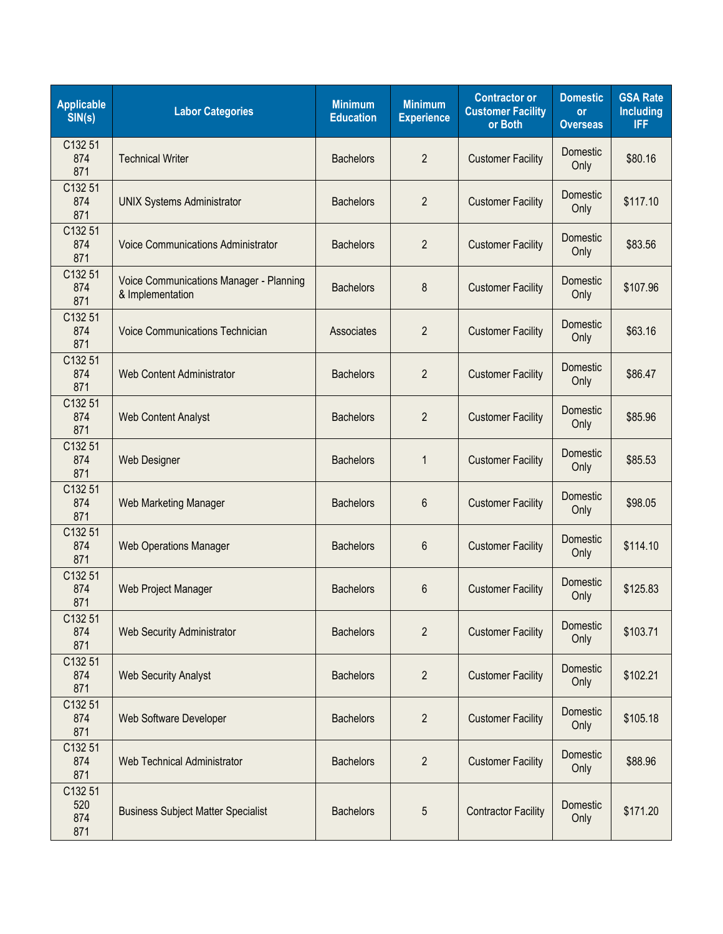| <b>Applicable</b><br>SIN(s)  | <b>Labor Categories</b>                                     | <b>Minimum</b><br><b>Education</b> | <b>Minimum</b><br><b>Experience</b> | <b>Contractor or</b><br><b>Customer Facility</b><br>or Both | <b>Domestic</b><br><b>or</b><br><b>Overseas</b> | <b>GSA Rate</b><br><b>Including</b><br><b>IFF</b> |
|------------------------------|-------------------------------------------------------------|------------------------------------|-------------------------------------|-------------------------------------------------------------|-------------------------------------------------|---------------------------------------------------|
| C132 51<br>874<br>871        | <b>Technical Writer</b>                                     | <b>Bachelors</b>                   | $\overline{2}$                      | <b>Customer Facility</b>                                    | Domestic<br>Only                                | \$80.16                                           |
| C132 51<br>874<br>871        | <b>UNIX Systems Administrator</b>                           | <b>Bachelors</b>                   | $\overline{2}$                      | <b>Customer Facility</b>                                    | Domestic<br>Only                                | \$117.10                                          |
| C132 51<br>874<br>871        | <b>Voice Communications Administrator</b>                   | <b>Bachelors</b>                   | $\overline{2}$                      | <b>Customer Facility</b>                                    | Domestic<br>Only                                | \$83.56                                           |
| C132 51<br>874<br>871        | Voice Communications Manager - Planning<br>& Implementation | <b>Bachelors</b>                   | 8                                   | <b>Customer Facility</b>                                    | Domestic<br>Only                                | \$107.96                                          |
| C132 51<br>874<br>871        | <b>Voice Communications Technician</b>                      | Associates                         | $\overline{2}$                      | <b>Customer Facility</b>                                    | Domestic<br>Only                                | \$63.16                                           |
| C132 51<br>874<br>871        | <b>Web Content Administrator</b>                            | <b>Bachelors</b>                   | $\overline{2}$                      | <b>Customer Facility</b>                                    | Domestic<br>Only                                | \$86.47                                           |
| C132 51<br>874<br>871        | <b>Web Content Analyst</b>                                  | <b>Bachelors</b>                   | $\overline{2}$                      | <b>Customer Facility</b>                                    | Domestic<br>Only                                | \$85.96                                           |
| C132 51<br>874<br>871        | <b>Web Designer</b>                                         | <b>Bachelors</b>                   | $\mathbf{1}$                        | <b>Customer Facility</b>                                    | <b>Domestic</b><br>Only                         | \$85.53                                           |
| C132 51<br>874<br>871        | <b>Web Marketing Manager</b>                                | <b>Bachelors</b>                   | 6                                   | <b>Customer Facility</b>                                    | Domestic<br>Only                                | \$98.05                                           |
| C132 51<br>874<br>871        | <b>Web Operations Manager</b>                               | <b>Bachelors</b>                   | 6                                   | <b>Customer Facility</b>                                    | Domestic<br>Only                                | \$114.10                                          |
| C132 51<br>874<br>871        | Web Project Manager                                         | <b>Bachelors</b>                   | 6                                   | <b>Customer Facility</b>                                    | Domestic<br>Only                                | \$125.83                                          |
| C132 51<br>874<br>871        | <b>Web Security Administrator</b>                           | <b>Bachelors</b>                   | $\overline{2}$                      | <b>Customer Facility</b>                                    | Domestic<br>Only                                | \$103.71                                          |
| C132 51<br>874<br>871        | <b>Web Security Analyst</b>                                 | <b>Bachelors</b>                   | $\overline{2}$                      | <b>Customer Facility</b>                                    | Domestic<br>Only                                | \$102.21                                          |
| C132 51<br>874<br>871        | Web Software Developer                                      | <b>Bachelors</b>                   | $\overline{2}$                      | <b>Customer Facility</b>                                    | Domestic<br>Only                                | \$105.18                                          |
| C132 51<br>874<br>871        | Web Technical Administrator                                 | <b>Bachelors</b>                   | $\overline{2}$                      | <b>Customer Facility</b>                                    | Domestic<br>Only                                | \$88.96                                           |
| C132 51<br>520<br>874<br>871 | <b>Business Subject Matter Specialist</b>                   | <b>Bachelors</b>                   | 5                                   | <b>Contractor Facility</b>                                  | Domestic<br>Only                                | \$171.20                                          |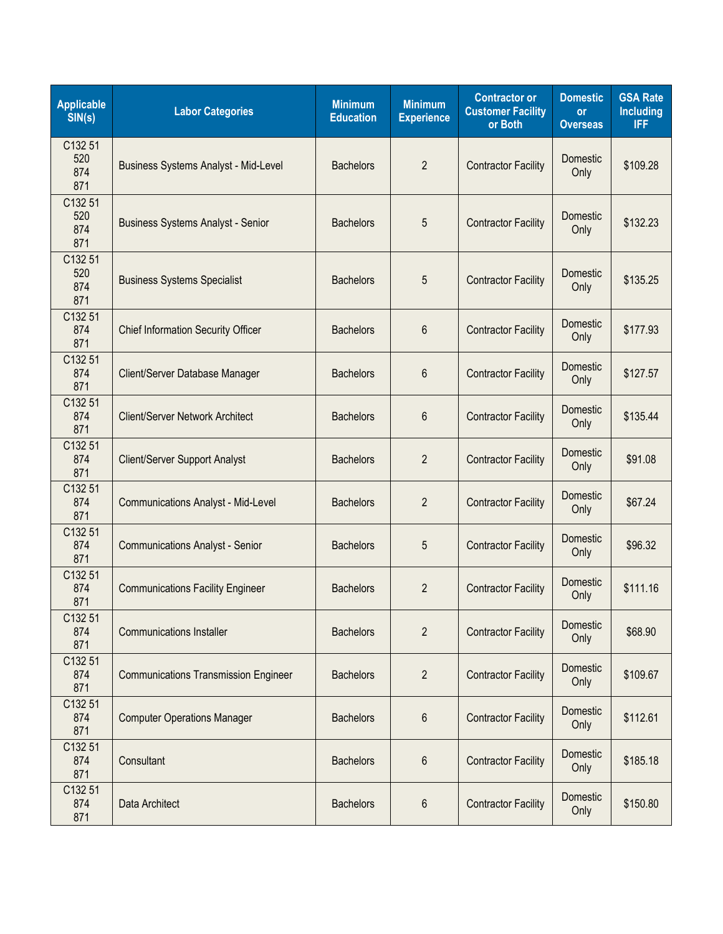| <b>Applicable</b><br>SIN(s)  | <b>Labor Categories</b>                     | <b>Minimum</b><br><b>Education</b> | <b>Minimum</b><br><b>Experience</b> | <b>Contractor or</b><br><b>Customer Facility</b><br>or Both | <b>Domestic</b><br><b>or</b><br><b>Overseas</b> | <b>GSA Rate</b><br><b>Including</b><br><b>IFF</b> |
|------------------------------|---------------------------------------------|------------------------------------|-------------------------------------|-------------------------------------------------------------|-------------------------------------------------|---------------------------------------------------|
| C132 51<br>520<br>874<br>871 | <b>Business Systems Analyst - Mid-Level</b> | <b>Bachelors</b>                   | $\overline{2}$                      | <b>Contractor Facility</b>                                  | Domestic<br>Only                                | \$109.28                                          |
| C132 51<br>520<br>874<br>871 | <b>Business Systems Analyst - Senior</b>    | <b>Bachelors</b>                   | 5                                   | <b>Contractor Facility</b>                                  | Domestic<br>Only                                | \$132.23                                          |
| C132 51<br>520<br>874<br>871 | <b>Business Systems Specialist</b>          | <b>Bachelors</b>                   | 5                                   | <b>Contractor Facility</b>                                  | Domestic<br>Only                                | \$135.25                                          |
| C132 51<br>874<br>871        | <b>Chief Information Security Officer</b>   | <b>Bachelors</b>                   | 6                                   | <b>Contractor Facility</b>                                  | <b>Domestic</b><br>Only                         | \$177.93                                          |
| C132 51<br>874<br>871        | Client/Server Database Manager              | <b>Bachelors</b>                   | 6                                   | <b>Contractor Facility</b>                                  | Domestic<br>Only                                | \$127.57                                          |
| C132 51<br>874<br>871        | Client/Server Network Architect             | <b>Bachelors</b>                   | 6                                   | <b>Contractor Facility</b>                                  | Domestic<br>Only                                | \$135.44                                          |
| C132 51<br>874<br>871        | Client/Server Support Analyst               | <b>Bachelors</b>                   | $\overline{2}$                      | <b>Contractor Facility</b>                                  | <b>Domestic</b><br>Only                         | \$91.08                                           |
| C132 51<br>874<br>871        | <b>Communications Analyst - Mid-Level</b>   | <b>Bachelors</b>                   | $\overline{2}$                      | <b>Contractor Facility</b>                                  | <b>Domestic</b><br>Only                         | \$67.24                                           |
| C132 51<br>874<br>871        | <b>Communications Analyst - Senior</b>      | <b>Bachelors</b>                   | 5                                   | <b>Contractor Facility</b>                                  | Domestic<br>Only                                | \$96.32                                           |
| C132 51<br>874<br>871        | <b>Communications Facility Engineer</b>     | <b>Bachelors</b>                   | $\overline{2}$                      | <b>Contractor Facility</b>                                  | Domestic<br>Only                                | \$111.16                                          |
| C132 51<br>874<br>871        | <b>Communications Installer</b>             | <b>Bachelors</b>                   | $\overline{2}$                      | <b>Contractor Facility</b>                                  | Domestic<br>Only                                | \$68.90                                           |
| C132 51<br>874<br>871        | <b>Communications Transmission Engineer</b> | <b>Bachelors</b>                   | $\overline{2}$                      | <b>Contractor Facility</b>                                  | Domestic<br>Only                                | \$109.67                                          |
| C132 51<br>874<br>871        | <b>Computer Operations Manager</b>          | <b>Bachelors</b>                   | 6                                   | <b>Contractor Facility</b>                                  | Domestic<br>Only                                | \$112.61                                          |
| C132 51<br>874<br>871        | Consultant                                  | <b>Bachelors</b>                   | 6                                   | <b>Contractor Facility</b>                                  | Domestic<br>Only                                | \$185.18                                          |
| C132 51<br>874<br>871        | Data Architect                              | <b>Bachelors</b>                   | 6                                   | <b>Contractor Facility</b>                                  | Domestic<br>Only                                | \$150.80                                          |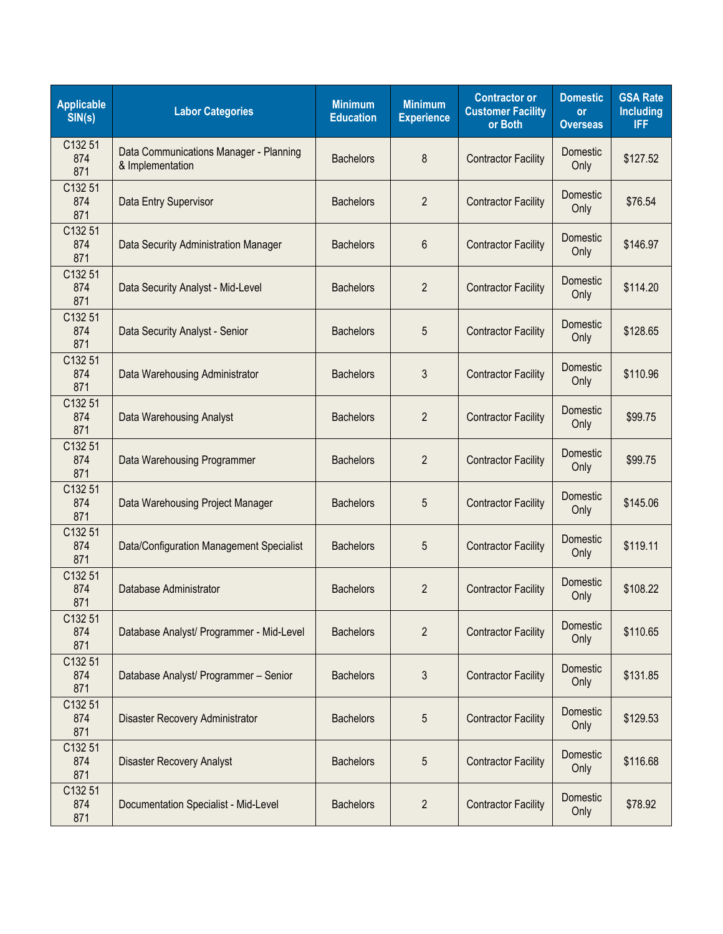| <b>Applicable</b><br>SIN(s) | <b>Labor Categories</b>                                    | <b>Minimum</b><br><b>Education</b> | <b>Minimum</b><br><b>Experience</b> | <b>Contractor or</b><br><b>Customer Facility</b><br>or Both | <b>Domestic</b><br><b>or</b><br><b>Overseas</b> | <b>GSA Rate</b><br><b>Including</b><br><b>IFF</b> |
|-----------------------------|------------------------------------------------------------|------------------------------------|-------------------------------------|-------------------------------------------------------------|-------------------------------------------------|---------------------------------------------------|
| C132 51<br>874<br>871       | Data Communications Manager - Planning<br>& Implementation | <b>Bachelors</b>                   | 8                                   | <b>Contractor Facility</b>                                  | Domestic<br>Only                                | \$127.52                                          |
| C132 51<br>874<br>871       | Data Entry Supervisor                                      | <b>Bachelors</b>                   | $\overline{2}$                      | <b>Contractor Facility</b>                                  | Domestic<br>Only                                | \$76.54                                           |
| C132 51<br>874<br>871       | Data Security Administration Manager                       | <b>Bachelors</b>                   | 6                                   | <b>Contractor Facility</b>                                  | Domestic<br>Only                                | \$146.97                                          |
| C132 51<br>874<br>871       | Data Security Analyst - Mid-Level                          | <b>Bachelors</b>                   | $\overline{2}$                      | <b>Contractor Facility</b>                                  | Domestic<br>Only                                | \$114.20                                          |
| C132 51<br>874<br>871       | Data Security Analyst - Senior                             | <b>Bachelors</b>                   | 5                                   | <b>Contractor Facility</b>                                  | Domestic<br>Only                                | \$128.65                                          |
| C132 51<br>874<br>871       | Data Warehousing Administrator                             | <b>Bachelors</b>                   | 3                                   | <b>Contractor Facility</b>                                  | Domestic<br>Only                                | \$110.96                                          |
| C132 51<br>874<br>871       | <b>Data Warehousing Analyst</b>                            | <b>Bachelors</b>                   | $\overline{2}$                      | <b>Contractor Facility</b>                                  | <b>Domestic</b><br>Only                         | \$99.75                                           |
| C132 51<br>874<br>871       | Data Warehousing Programmer                                | <b>Bachelors</b>                   | $\overline{2}$                      | <b>Contractor Facility</b>                                  | Domestic<br>Only                                | \$99.75                                           |
| C132 51<br>874<br>871       | Data Warehousing Project Manager                           | <b>Bachelors</b>                   | 5                                   | <b>Contractor Facility</b>                                  | Domestic<br>Only                                | \$145.06                                          |
| C132 51<br>874<br>871       | Data/Configuration Management Specialist                   | <b>Bachelors</b>                   | 5                                   | <b>Contractor Facility</b>                                  | Domestic<br>Only                                | \$119.11                                          |
| C132 51<br>874<br>871       | Database Administrator                                     | <b>Bachelors</b>                   | $\overline{2}$                      | <b>Contractor Facility</b>                                  | Domestic<br>Only                                | \$108.22                                          |
| C132 51<br>874<br>871       | Database Analyst/ Programmer - Mid-Level                   | <b>Bachelors</b>                   | $\overline{2}$                      | <b>Contractor Facility</b>                                  | Domestic<br>Only                                | \$110.65                                          |
| C132 51<br>874<br>871       | Database Analyst/ Programmer - Senior                      | <b>Bachelors</b>                   | 3                                   | <b>Contractor Facility</b>                                  | Domestic<br>Only                                | \$131.85                                          |
| C132 51<br>874<br>871       | Disaster Recovery Administrator                            | <b>Bachelors</b>                   | 5                                   | <b>Contractor Facility</b>                                  | Domestic<br>Only                                | \$129.53                                          |
| C132 51<br>874<br>871       | <b>Disaster Recovery Analyst</b>                           | <b>Bachelors</b>                   | 5                                   | <b>Contractor Facility</b>                                  | Domestic<br>Only                                | \$116.68                                          |
| C132 51<br>874<br>871       | Documentation Specialist - Mid-Level                       | <b>Bachelors</b>                   | $\overline{2}$                      | <b>Contractor Facility</b>                                  | Domestic<br>Only                                | \$78.92                                           |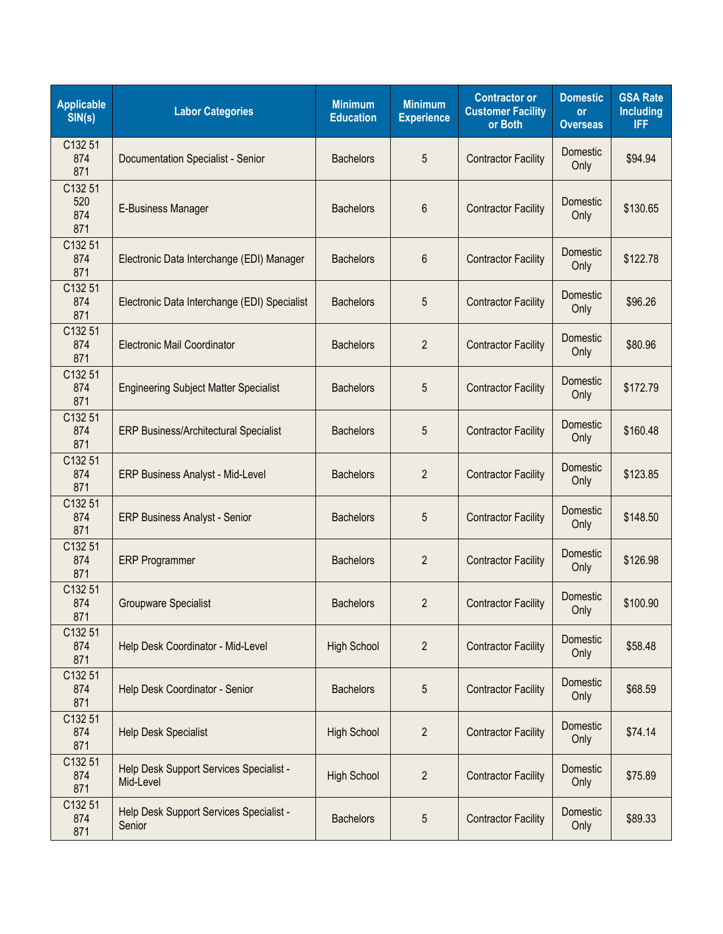| <b>Applicable</b><br>SIN(s)  | <b>Labor Categories</b>                              | <b>Minimum</b><br><b>Education</b> | <b>Minimum</b><br><b>Experience</b> | <b>Contractor or</b><br><b>Customer Facility</b><br>or Both | <b>Domestic</b><br><b>or</b><br><b>Overseas</b> | <b>GSA Rate</b><br><b>Including</b><br><b>IFF</b> |
|------------------------------|------------------------------------------------------|------------------------------------|-------------------------------------|-------------------------------------------------------------|-------------------------------------------------|---------------------------------------------------|
| C132 51<br>874<br>871        | Documentation Specialist - Senior                    | <b>Bachelors</b>                   | 5                                   | <b>Contractor Facility</b>                                  | Domestic<br>Only                                | \$94.94                                           |
| C132 51<br>520<br>874<br>871 | E-Business Manager                                   | <b>Bachelors</b>                   | 6                                   | <b>Contractor Facility</b>                                  | Domestic<br>Only                                | \$130.65                                          |
| C132 51<br>874<br>871        | Electronic Data Interchange (EDI) Manager            | <b>Bachelors</b>                   | 6                                   | <b>Contractor Facility</b>                                  | Domestic<br>Only                                | \$122.78                                          |
| C132 51<br>874<br>871        | Electronic Data Interchange (EDI) Specialist         | <b>Bachelors</b>                   | 5                                   | <b>Contractor Facility</b>                                  | Domestic<br>Only                                | \$96.26                                           |
| C132 51<br>874<br>871        | <b>Electronic Mail Coordinator</b>                   | <b>Bachelors</b>                   | $\overline{2}$                      | <b>Contractor Facility</b>                                  | Domestic<br>Only                                | \$80.96                                           |
| C132 51<br>874<br>871        | <b>Engineering Subject Matter Specialist</b>         | <b>Bachelors</b>                   | 5                                   | <b>Contractor Facility</b>                                  | Domestic<br>Only                                | \$172.79                                          |
| C132 51<br>874<br>871        | <b>ERP Business/Architectural Specialist</b>         | <b>Bachelors</b>                   | 5                                   | <b>Contractor Facility</b>                                  | Domestic<br>Only                                | \$160.48                                          |
| C132 51<br>874<br>871        | ERP Business Analyst - Mid-Level                     | <b>Bachelors</b>                   | $\overline{2}$                      | <b>Contractor Facility</b>                                  | Domestic<br>Only                                | \$123.85                                          |
| C132 51<br>874<br>871        | <b>ERP Business Analyst - Senior</b>                 | <b>Bachelors</b>                   | 5                                   | <b>Contractor Facility</b>                                  | Domestic<br>Only                                | \$148.50                                          |
| C132 51<br>874<br>871        | <b>ERP Programmer</b>                                | <b>Bachelors</b>                   | $\overline{2}$                      | <b>Contractor Facility</b>                                  | <b>Domestic</b><br>Only                         | \$126.98                                          |
| C132 51<br>874<br>871        | <b>Groupware Specialist</b>                          | <b>Bachelors</b>                   | $\overline{2}$                      | <b>Contractor Facility</b>                                  | Domestic<br>Only                                | \$100.90                                          |
| C132 51<br>874<br>871        | Help Desk Coordinator - Mid-Level                    | <b>High School</b>                 | $\overline{2}$                      | <b>Contractor Facility</b>                                  | Domestic<br>Only                                | \$58.48                                           |
| C132 51<br>874<br>871        | Help Desk Coordinator - Senior                       | <b>Bachelors</b>                   | 5                                   | <b>Contractor Facility</b>                                  | Domestic<br>Only                                | \$68.59                                           |
| C132 51<br>874<br>871        | <b>Help Desk Specialist</b>                          | <b>High School</b>                 | $\overline{2}$                      | <b>Contractor Facility</b>                                  | Domestic<br>Only                                | \$74.14                                           |
| C132 51<br>874<br>871        | Help Desk Support Services Specialist -<br>Mid-Level | <b>High School</b>                 | $\overline{2}$                      | <b>Contractor Facility</b>                                  | Domestic<br>Only                                | \$75.89                                           |
| C132 51<br>874<br>871        | Help Desk Support Services Specialist -<br>Senior    | <b>Bachelors</b>                   | 5                                   | <b>Contractor Facility</b>                                  | Domestic<br>Only                                | \$89.33                                           |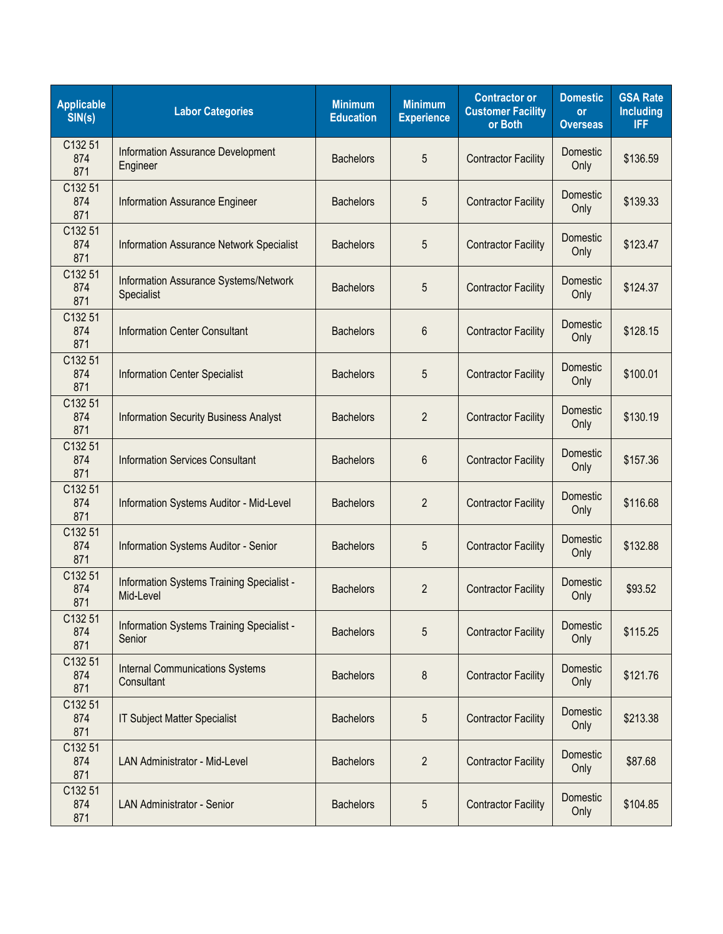| <b>Applicable</b><br>SIN(s) | <b>Labor Categories</b>                                | <b>Minimum</b><br><b>Education</b> | <b>Minimum</b><br><b>Experience</b> | <b>Contractor or</b><br><b>Customer Facility</b><br>or Both | <b>Domestic</b><br><b>or</b><br><b>Overseas</b> | <b>GSA Rate</b><br><b>Including</b><br><b>IFF</b> |
|-----------------------------|--------------------------------------------------------|------------------------------------|-------------------------------------|-------------------------------------------------------------|-------------------------------------------------|---------------------------------------------------|
| C132 51<br>874<br>871       | <b>Information Assurance Development</b><br>Engineer   | <b>Bachelors</b>                   | 5                                   | <b>Contractor Facility</b>                                  | Domestic<br>Only                                | \$136.59                                          |
| C132 51<br>874<br>871       | Information Assurance Engineer                         | <b>Bachelors</b>                   | 5                                   | <b>Contractor Facility</b>                                  | Domestic<br>Only                                | \$139.33                                          |
| C132 51<br>874<br>871       | <b>Information Assurance Network Specialist</b>        | <b>Bachelors</b>                   | 5                                   | <b>Contractor Facility</b>                                  | Domestic<br>Only                                | \$123.47                                          |
| C132 51<br>874<br>871       | Information Assurance Systems/Network<br>Specialist    | <b>Bachelors</b>                   | 5                                   | <b>Contractor Facility</b>                                  | Domestic<br>Only                                | \$124.37                                          |
| C132 51<br>874<br>871       | <b>Information Center Consultant</b>                   | <b>Bachelors</b>                   | 6                                   | <b>Contractor Facility</b>                                  | Domestic<br>Only                                | \$128.15                                          |
| C132 51<br>874<br>871       | <b>Information Center Specialist</b>                   | <b>Bachelors</b>                   | 5                                   | <b>Contractor Facility</b>                                  | Domestic<br>Only                                | \$100.01                                          |
| C132 51<br>874<br>871       | <b>Information Security Business Analyst</b>           | <b>Bachelors</b>                   | $\overline{2}$                      | <b>Contractor Facility</b>                                  | Domestic<br>Only                                | \$130.19                                          |
| C132 51<br>874<br>871       | <b>Information Services Consultant</b>                 | <b>Bachelors</b>                   | 6                                   | <b>Contractor Facility</b>                                  | <b>Domestic</b><br>Only                         | \$157.36                                          |
| C132 51<br>874<br>871       | Information Systems Auditor - Mid-Level                | <b>Bachelors</b>                   | $\overline{2}$                      | <b>Contractor Facility</b>                                  | Domestic<br>Only                                | \$116.68                                          |
| C132 51<br>874<br>871       | Information Systems Auditor - Senior                   | <b>Bachelors</b>                   | 5                                   | <b>Contractor Facility</b>                                  | Domestic<br>Only                                | \$132.88                                          |
| C132 51<br>874<br>871       | Information Systems Training Specialist -<br>Mid-Level | <b>Bachelors</b>                   | $\overline{2}$                      | <b>Contractor Facility</b>                                  | Domestic<br>Only                                | \$93.52                                           |
| C132 51<br>874<br>871       | Information Systems Training Specialist -<br>Senior    | <b>Bachelors</b>                   | 5                                   | <b>Contractor Facility</b>                                  | Domestic<br>Only                                | \$115.25                                          |
| C132 51<br>874<br>871       | <b>Internal Communications Systems</b><br>Consultant   | <b>Bachelors</b>                   | 8                                   | <b>Contractor Facility</b>                                  | Domestic<br>Only                                | \$121.76                                          |
| C132 51<br>874<br>871       | <b>IT Subject Matter Specialist</b>                    | <b>Bachelors</b>                   | 5                                   | <b>Contractor Facility</b>                                  | Domestic<br>Only                                | \$213.38                                          |
| C132 51<br>874<br>871       | <b>LAN Administrator - Mid-Level</b>                   | <b>Bachelors</b>                   | $\overline{2}$                      | <b>Contractor Facility</b>                                  | Domestic<br>Only                                | \$87.68                                           |
| C132 51<br>874<br>871       | <b>LAN Administrator - Senior</b>                      | <b>Bachelors</b>                   | 5                                   | <b>Contractor Facility</b>                                  | Domestic<br>Only                                | \$104.85                                          |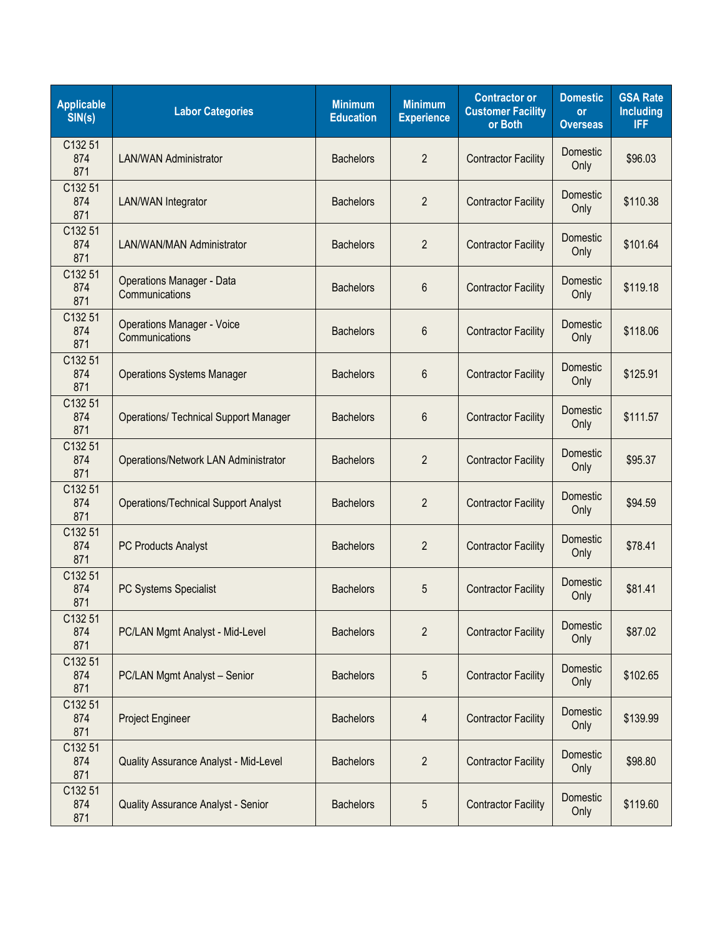| <b>Applicable</b><br>SIN(s) | <b>Labor Categories</b>                             | <b>Minimum</b><br><b>Education</b> | <b>Minimum</b><br><b>Experience</b> | <b>Contractor or</b><br><b>Customer Facility</b><br>or Both | <b>Domestic</b><br><b>or</b><br><b>Overseas</b> | <b>GSA Rate</b><br><b>Including</b><br><b>IFF</b> |
|-----------------------------|-----------------------------------------------------|------------------------------------|-------------------------------------|-------------------------------------------------------------|-------------------------------------------------|---------------------------------------------------|
| C132 51<br>874<br>871       | <b>LAN/WAN Administrator</b>                        | <b>Bachelors</b>                   | $\overline{2}$                      | <b>Contractor Facility</b>                                  | Domestic<br>Only                                | \$96.03                                           |
| C132 51<br>874<br>871       | <b>LAN/WAN Integrator</b>                           | <b>Bachelors</b>                   | $\overline{2}$                      | <b>Contractor Facility</b>                                  | Domestic<br>Only                                | \$110.38                                          |
| C132 51<br>874<br>871       | <b>LAN/WAN/MAN Administrator</b>                    | <b>Bachelors</b>                   | $\overline{2}$                      | <b>Contractor Facility</b>                                  | <b>Domestic</b><br>Only                         | \$101.64                                          |
| C132 51<br>874<br>871       | <b>Operations Manager - Data</b><br>Communications  | <b>Bachelors</b>                   | 6                                   | <b>Contractor Facility</b>                                  | Domestic<br>Only                                | \$119.18                                          |
| C132 51<br>874<br>871       | <b>Operations Manager - Voice</b><br>Communications | <b>Bachelors</b>                   | 6                                   | <b>Contractor Facility</b>                                  | Domestic<br>Only                                | \$118.06                                          |
| C132 51<br>874<br>871       | <b>Operations Systems Manager</b>                   | <b>Bachelors</b>                   | 6                                   | <b>Contractor Facility</b>                                  | Domestic<br>Only                                | \$125.91                                          |
| C132 51<br>874<br>871       | <b>Operations/ Technical Support Manager</b>        | <b>Bachelors</b>                   | 6                                   | <b>Contractor Facility</b>                                  | <b>Domestic</b><br>Only                         | \$111.57                                          |
| C132 51<br>874<br>871       | Operations/Network LAN Administrator                | <b>Bachelors</b>                   | $\overline{2}$                      | <b>Contractor Facility</b>                                  | Domestic<br>Only                                | \$95.37                                           |
| C132 51<br>874<br>871       | <b>Operations/Technical Support Analyst</b>         | <b>Bachelors</b>                   | $\overline{2}$                      | <b>Contractor Facility</b>                                  | Domestic<br>Only                                | \$94.59                                           |
| C132 51<br>874<br>871       | PC Products Analyst                                 | <b>Bachelors</b>                   | $\overline{2}$                      | <b>Contractor Facility</b>                                  | Domestic<br>Only                                | \$78.41                                           |
| C132 51<br>874<br>871       | PC Systems Specialist                               | <b>Bachelors</b>                   | 5                                   | <b>Contractor Facility</b>                                  | Domestic<br>Only                                | \$81.41                                           |
| C132 51<br>874<br>871       | PC/LAN Mgmt Analyst - Mid-Level                     | <b>Bachelors</b>                   | $\overline{2}$                      | <b>Contractor Facility</b>                                  | Domestic<br>Only                                | \$87.02                                           |
| C132 51<br>874<br>871       | PC/LAN Mgmt Analyst - Senior                        | <b>Bachelors</b>                   | 5                                   | <b>Contractor Facility</b>                                  | Domestic<br>Only                                | \$102.65                                          |
| C132 51<br>874<br>871       | Project Engineer                                    | <b>Bachelors</b>                   | 4                                   | <b>Contractor Facility</b>                                  | Domestic<br>Only                                | \$139.99                                          |
| C132 51<br>874<br>871       | Quality Assurance Analyst - Mid-Level               | <b>Bachelors</b>                   | $\overline{2}$                      | <b>Contractor Facility</b>                                  | Domestic<br>Only                                | \$98.80                                           |
| C132 51<br>874<br>871       | <b>Quality Assurance Analyst - Senior</b>           | <b>Bachelors</b>                   | 5                                   | <b>Contractor Facility</b>                                  | Domestic<br>Only                                | \$119.60                                          |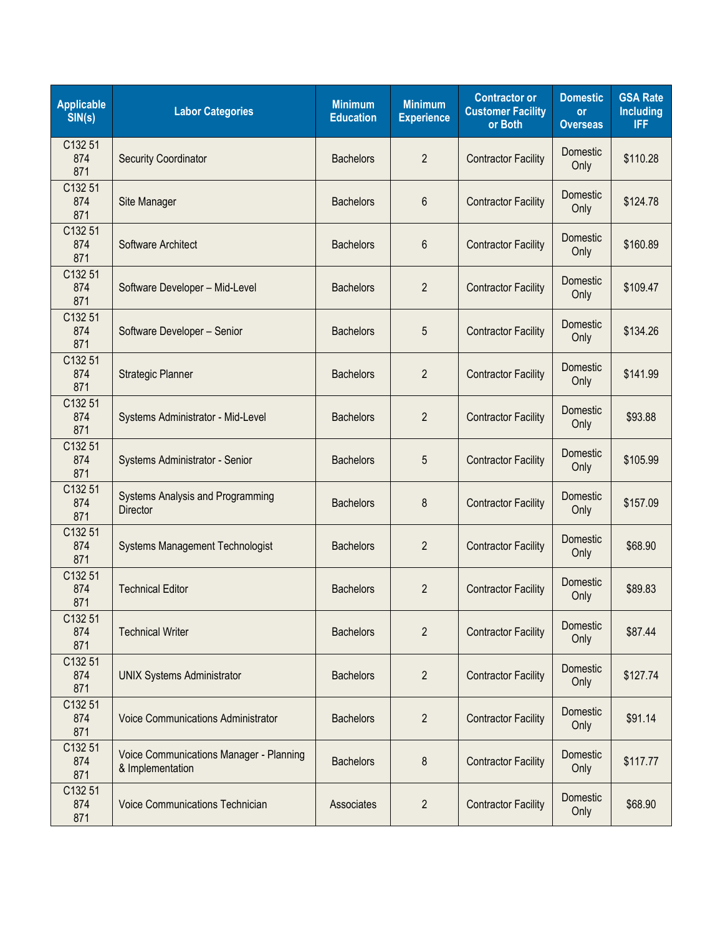| <b>Applicable</b><br>SIN(s) | <b>Labor Categories</b>                                     | <b>Minimum</b><br><b>Education</b> | <b>Minimum</b><br><b>Experience</b> | <b>Contractor or</b><br><b>Customer Facility</b><br>or Both | <b>Domestic</b><br><b>or</b><br><b>Overseas</b> | <b>GSA Rate</b><br><b>Including</b><br><b>IFF</b> |
|-----------------------------|-------------------------------------------------------------|------------------------------------|-------------------------------------|-------------------------------------------------------------|-------------------------------------------------|---------------------------------------------------|
| C132 51<br>874<br>871       | <b>Security Coordinator</b>                                 | <b>Bachelors</b>                   | $\overline{2}$                      | <b>Contractor Facility</b>                                  | Domestic<br>Only                                | \$110.28                                          |
| C132 51<br>874<br>871       | Site Manager                                                | <b>Bachelors</b>                   | 6                                   | <b>Contractor Facility</b>                                  | Domestic<br>Only                                | \$124.78                                          |
| C132 51<br>874<br>871       | Software Architect                                          | <b>Bachelors</b>                   | 6                                   | <b>Contractor Facility</b>                                  | Domestic<br>Only                                | \$160.89                                          |
| C132 51<br>874<br>871       | Software Developer - Mid-Level                              | <b>Bachelors</b>                   | $\overline{2}$                      | <b>Contractor Facility</b>                                  | Domestic<br>Only                                | \$109.47                                          |
| C132 51<br>874<br>871       | Software Developer - Senior                                 | <b>Bachelors</b>                   | 5                                   | <b>Contractor Facility</b>                                  | Domestic<br>Only                                | \$134.26                                          |
| C132 51<br>874<br>871       | <b>Strategic Planner</b>                                    | <b>Bachelors</b>                   | $\overline{2}$                      | <b>Contractor Facility</b>                                  | Domestic<br>Only                                | \$141.99                                          |
| C132 51<br>874<br>871       | Systems Administrator - Mid-Level                           | <b>Bachelors</b>                   | $\overline{2}$                      | <b>Contractor Facility</b>                                  | <b>Domestic</b><br>Only                         | \$93.88                                           |
| C132 51<br>874<br>871       | Systems Administrator - Senior                              | <b>Bachelors</b>                   | 5                                   | <b>Contractor Facility</b>                                  | <b>Domestic</b><br>Only                         | \$105.99                                          |
| C132 51<br>874<br>871       | Systems Analysis and Programming<br><b>Director</b>         | <b>Bachelors</b>                   | 8                                   | <b>Contractor Facility</b>                                  | Domestic<br>Only                                | \$157.09                                          |
| C132 51<br>874<br>871       | <b>Systems Management Technologist</b>                      | <b>Bachelors</b>                   | $\overline{2}$                      | <b>Contractor Facility</b>                                  | Domestic<br>Only                                | \$68.90                                           |
| C132 51<br>874<br>871       | <b>Technical Editor</b>                                     | <b>Bachelors</b>                   | $\overline{2}$                      | <b>Contractor Facility</b>                                  | Domestic<br>Only                                | \$89.83                                           |
| C132 51<br>874<br>871       | <b>Technical Writer</b>                                     | <b>Bachelors</b>                   | $\overline{2}$                      | <b>Contractor Facility</b>                                  | Domestic<br>Only                                | \$87.44                                           |
| C132 51<br>874<br>871       | <b>UNIX Systems Administrator</b>                           | <b>Bachelors</b>                   | $\overline{2}$                      | <b>Contractor Facility</b>                                  | Domestic<br>Only                                | \$127.74                                          |
| C132 51<br>874<br>871       | <b>Voice Communications Administrator</b>                   | <b>Bachelors</b>                   | $\overline{2}$                      | <b>Contractor Facility</b>                                  | Domestic<br>Only                                | \$91.14                                           |
| C132 51<br>874<br>871       | Voice Communications Manager - Planning<br>& Implementation | <b>Bachelors</b>                   | 8                                   | <b>Contractor Facility</b>                                  | Domestic<br>Only                                | \$117.77                                          |
| C132 51<br>874<br>871       | Voice Communications Technician                             | Associates                         | $\overline{2}$                      | <b>Contractor Facility</b>                                  | Domestic<br>Only                                | \$68.90                                           |